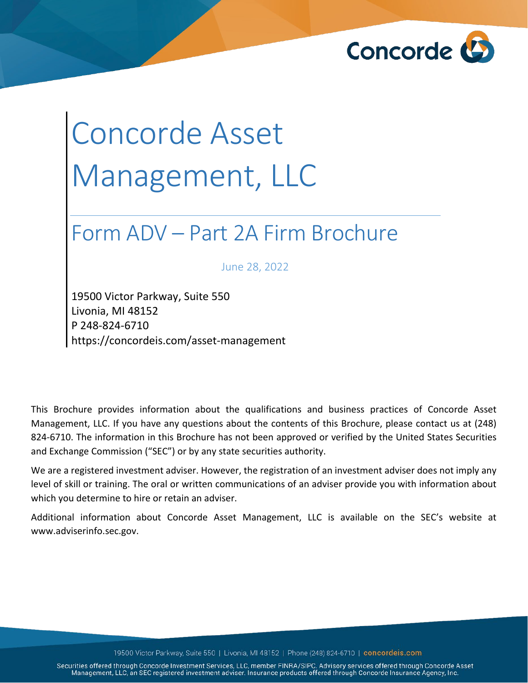

# Concorde Asset Management, LLC

## Form ADV – Part 2A Firm Brochure

June 28, 2022

19500 Victor Parkway, Suite 550 Livonia, MI 48152 P 248-824-6710 https://concordeis.com/asset-management

This Brochure provides information about the qualifications and business practices of Concorde Asset Management, LLC. If you have any questions about the contents of this Brochure, please contact us at (248) 824-6710. The information in this Brochure has not been approved or verified by the United States Securities and Exchange Commission ("SEC") or by any state securities authority.

We are a registered investment adviser. However, the registration of an investment adviser does not imply any level of skill or training. The oral or written communications of an adviser provide you with information about which you determine to hire or retain an adviser.

Additional information about Concorde Asset Management, LLC is available on the SEC's website at www.adviserinfo.sec.gov.

19500 Victor Parkway, Suite 550 | Livonia, MI 48152 | Phone (248) 824-6710 | concordeis.com

Securities offered through Concorde Investment Services, LLC, member FINRA/SIPC. Advisory services offered through Concorde Asset Management, LLC, an SEC registered investment adviser. Insurance products offered through Concorde Insurance Agency, Inc.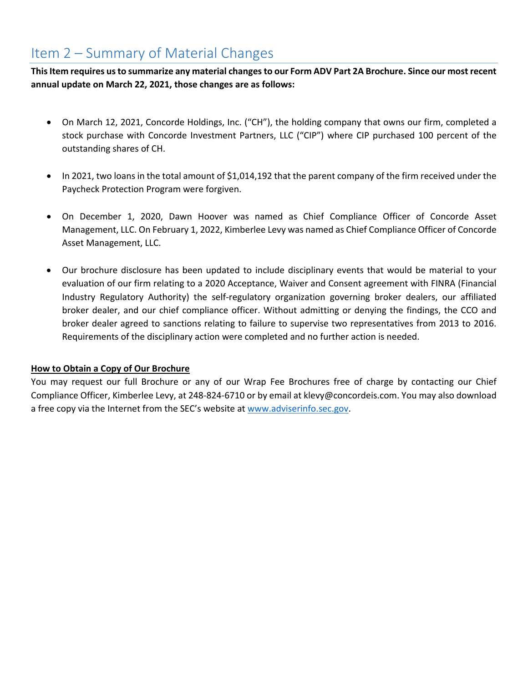## <span id="page-1-0"></span>Item 2 – Summary of Material Changes

**This Item requires us to summarize any material changes to our Form ADV Part 2A Brochure. Since our most recent annual update on March 22, 2021, those changes are as follows:**

- On March 12, 2021, Concorde Holdings, Inc. ("CH"), the holding company that owns our firm, completed a stock purchase with Concorde Investment Partners, LLC ("CIP") where CIP purchased 100 percent of the outstanding shares of CH.
- In 2021, two loans in the total amount of \$1,014,192 that the parent company of the firm received under the Paycheck Protection Program were forgiven.
- On December 1, 2020, Dawn Hoover was named as Chief Compliance Officer of Concorde Asset Management, LLC. On February 1, 2022, Kimberlee Levy was named as Chief Compliance Officer of Concorde Asset Management, LLC.
- Our brochure disclosure has been updated to include disciplinary events that would be material to your evaluation of our firm relating to a 2020 Acceptance, Waiver and Consent agreement with FINRA (Financial Industry Regulatory Authority) the self-regulatory organization governing broker dealers, our affiliated broker dealer, and our chief compliance officer. Without admitting or denying the findings, the CCO and broker dealer agreed to sanctions relating to failure to supervise two representatives from 2013 to 2016. Requirements of the disciplinary action were completed and no further action is needed.

#### **How to Obtain a Copy of Our Brochure**

You may request our full Brochure or any of our Wrap Fee Brochures free of charge by contacting our Chief Compliance Officer, Kimberlee Levy, at 248-824-6710 or by email at klevy@concordeis.com. You may also download a free copy via the Internet from the SEC's website at [www.adviserinfo.sec.gov.](http://www.adviserinfo.sec.gov/)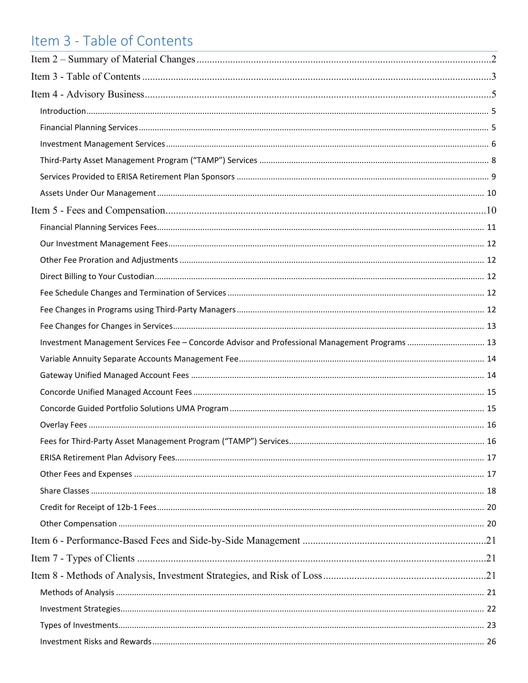## <span id="page-2-0"></span>Item 3 - Table of Contents

| Investment Management Services Fee - Concorde Advisor and Professional Management Programs  13 |  |
|------------------------------------------------------------------------------------------------|--|
|                                                                                                |  |
|                                                                                                |  |
|                                                                                                |  |
|                                                                                                |  |
|                                                                                                |  |
|                                                                                                |  |
|                                                                                                |  |
|                                                                                                |  |
|                                                                                                |  |
|                                                                                                |  |
|                                                                                                |  |
|                                                                                                |  |
|                                                                                                |  |
|                                                                                                |  |
|                                                                                                |  |
|                                                                                                |  |
|                                                                                                |  |
|                                                                                                |  |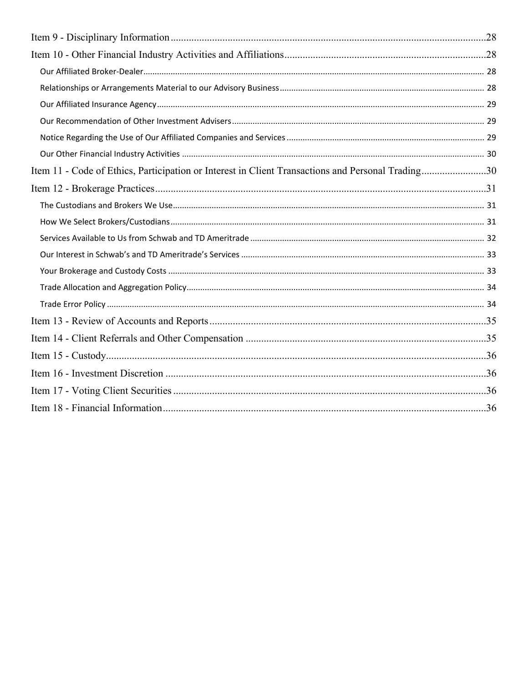| Item 11 - Code of Ethics, Participation or Interest in Client Transactions and Personal Trading30 |  |
|---------------------------------------------------------------------------------------------------|--|
|                                                                                                   |  |
|                                                                                                   |  |
|                                                                                                   |  |
|                                                                                                   |  |
|                                                                                                   |  |
|                                                                                                   |  |
|                                                                                                   |  |
|                                                                                                   |  |
|                                                                                                   |  |
|                                                                                                   |  |
|                                                                                                   |  |
|                                                                                                   |  |
|                                                                                                   |  |
|                                                                                                   |  |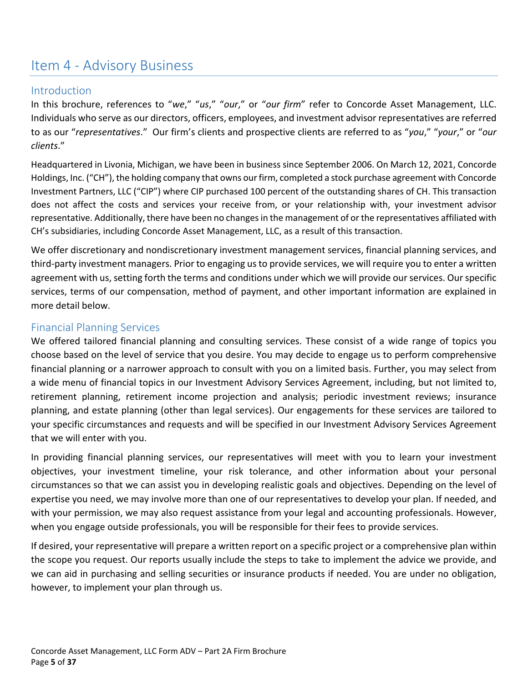### <span id="page-4-0"></span>Item 4 - Advisory Business

#### <span id="page-4-1"></span>Introduction

In this brochure, references to "*we*," "*us*," "*our*," or "*our firm*" refer to Concorde Asset Management, LLC. Individuals who serve as our directors, officers, employees, and investment advisor representatives are referred to as our "*representatives*." Our firm's clients and prospective clients are referred to as "*you*," "*your*," or "*our clients*."

Headquartered in Livonia, Michigan, we have been in business since September 2006. On March 12, 2021, Concorde Holdings, Inc. ("CH"), the holding company that owns our firm, completed a stock purchase agreement with Concorde Investment Partners, LLC ("CIP") where CIP purchased 100 percent of the outstanding shares of CH. This transaction does not affect the costs and services your receive from, or your relationship with, your investment advisor representative. Additionally, there have been no changes in the management of or the representatives affiliated with CH's subsidiaries, including Concorde Asset Management, LLC, as a result of this transaction.

We offer discretionary and nondiscretionary investment management services, financial planning services, and third-party investment managers. Prior to engaging us to provide services, we will require you to enter a written agreement with us,setting forth the terms and conditions under which we will provide our services. Our specific services, terms of our compensation, method of payment, and other important information are explained in more detail below.

#### <span id="page-4-2"></span>Financial Planning Services

We offered tailored financial planning and consulting services. These consist of a wide range of topics you choose based on the level of service that you desire. You may decide to engage us to perform comprehensive financial planning or a narrower approach to consult with you on a limited basis. Further, you may select from a wide menu of financial topics in our Investment Advisory Services Agreement, including, but not limited to, retirement planning, retirement income projection and analysis; periodic investment reviews; insurance planning, and estate planning (other than legal services). Our engagements for these services are tailored to your specific circumstances and requests and will be specified in our Investment Advisory Services Agreement that we will enter with you.

In providing financial planning services, our representatives will meet with you to learn your investment objectives, your investment timeline, your risk tolerance, and other information about your personal circumstances so that we can assist you in developing realistic goals and objectives. Depending on the level of expertise you need, we may involve more than one of our representatives to develop your plan. If needed, and with your permission, we may also request assistance from your legal and accounting professionals. However, when you engage outside professionals, you will be responsible for their fees to provide services.

If desired, your representative will prepare a written report on a specific project or a comprehensive plan within the scope you request. Our reports usually include the steps to take to implement the advice we provide, and we can aid in purchasing and selling securities or insurance products if needed. You are under no obligation, however, to implement your plan through us.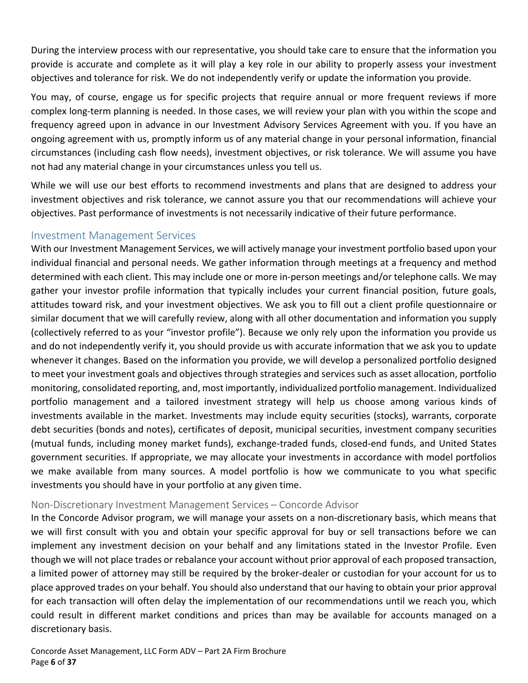During the interview process with our representative, you should take care to ensure that the information you provide is accurate and complete as it will play a key role in our ability to properly assess your investment objectives and tolerance for risk. We do not independently verify or update the information you provide.

You may, of course, engage us for specific projects that require annual or more frequent reviews if more complex long-term planning is needed. In those cases, we will review your plan with you within the scope and frequency agreed upon in advance in our Investment Advisory Services Agreement with you. If you have an ongoing agreement with us, promptly inform us of any material change in your personal information, financial circumstances (including cash flow needs), investment objectives, or risk tolerance. We will assume you have not had any material change in your circumstances unless you tell us.

While we will use our best efforts to recommend investments and plans that are designed to address your investment objectives and risk tolerance, we cannot assure you that our recommendations will achieve your objectives. Past performance of investments is not necessarily indicative of their future performance.

#### <span id="page-5-0"></span>Investment Management Services

With our Investment Management Services, we will actively manage your investment portfolio based upon your individual financial and personal needs. We gather information through meetings at a frequency and method determined with each client. This may include one or more in-person meetings and/or telephone calls. We may gather your investor profile information that typically includes your current financial position, future goals, attitudes toward risk, and your investment objectives. We ask you to fill out a client profile questionnaire or similar document that we will carefully review, along with all other documentation and information you supply (collectively referred to as your "investor profile"). Because we only rely upon the information you provide us and do not independently verify it, you should provide us with accurate information that we ask you to update whenever it changes. Based on the information you provide, we will develop a personalized portfolio designed to meet your investment goals and objectives through strategies and services such as asset allocation, portfolio monitoring, consolidated reporting, and, most importantly, individualized portfolio management. Individualized portfolio management and a tailored investment strategy will help us choose among various kinds of investments available in the market. Investments may include equity securities (stocks), warrants, corporate debt securities (bonds and notes), certificates of deposit, municipal securities, investment company securities (mutual funds, including money market funds), exchange-traded funds, closed-end funds, and United States government securities. If appropriate, we may allocate your investments in accordance with model portfolios we make available from many sources. A model portfolio is how we communicate to you what specific investments you should have in your portfolio at any given time.

#### Non-Discretionary Investment Management Services – Concorde Advisor

In the Concorde Advisor program, we will manage your assets on a non-discretionary basis, which means that we will first consult with you and obtain your specific approval for buy or sell transactions before we can implement any investment decision on your behalf and any limitations stated in the Investor Profile. Even though we will not place trades or rebalance your account without prior approval of each proposed transaction, a limited power of attorney may still be required by the broker-dealer or custodian for your account for us to place approved trades on your behalf. You should also understand that our having to obtain your prior approval for each transaction will often delay the implementation of our recommendations until we reach you, which could result in different market conditions and prices than may be available for accounts managed on a discretionary basis.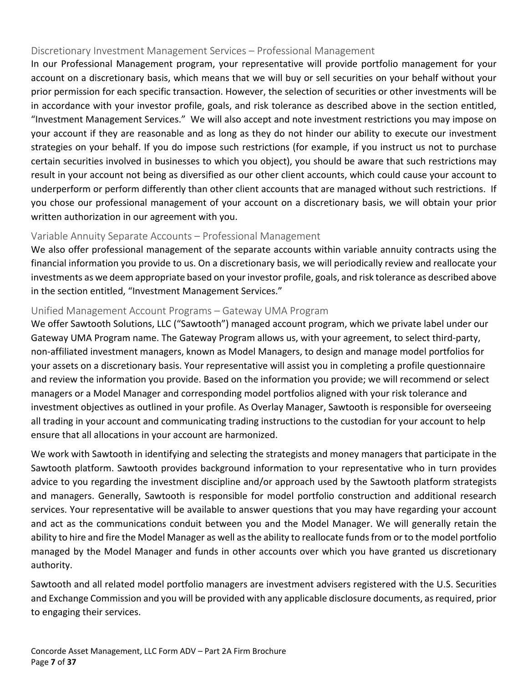#### Discretionary Investment Management Services – Professional Management

In our Professional Management program, your representative will provide portfolio management for your account on a discretionary basis, which means that we will buy or sell securities on your behalf without your prior permission for each specific transaction. However, the selection of securities or other investments will be in accordance with your investor profile, goals, and risk tolerance as described above in the section entitled, "Investment Management Services." We will also accept and note investment restrictions you may impose on your account if they are reasonable and as long as they do not hinder our ability to execute our investment strategies on your behalf. If you do impose such restrictions (for example, if you instruct us not to purchase certain securities involved in businesses to which you object), you should be aware that such restrictions may result in your account not being as diversified as our other client accounts, which could cause your account to underperform or perform differently than other client accounts that are managed without such restrictions. If you chose our professional management of your account on a discretionary basis, we will obtain your prior written authorization in our agreement with you.

#### Variable Annuity Separate Accounts – Professional Management

We also offer professional management of the separate accounts within variable annuity contracts using the financial information you provide to us. On a discretionary basis, we will periodically review and reallocate your investments as we deem appropriate based on your investor profile, goals, and risk tolerance as described above in the section entitled, "Investment Management Services."

#### Unified Management Account Programs – Gateway UMA Program

We offer Sawtooth Solutions, LLC ("Sawtooth") managed account program, which we private label under our Gateway UMA Program name. The Gateway Program allows us, with your agreement, to select third-party, non-affiliated investment managers, known as Model Managers, to design and manage model portfolios for your assets on a discretionary basis. Your representative will assist you in completing a profile questionnaire and review the information you provide. Based on the information you provide; we will recommend or select managers or a Model Manager and corresponding model portfolios aligned with your risk tolerance and investment objectives as outlined in your profile. As Overlay Manager, Sawtooth is responsible for overseeing all trading in your account and communicating trading instructions to the custodian for your account to help ensure that all allocations in your account are harmonized.

We work with Sawtooth in identifying and selecting the strategists and money managers that participate in the Sawtooth platform. Sawtooth provides background information to your representative who in turn provides advice to you regarding the investment discipline and/or approach used by the Sawtooth platform strategists and managers. Generally, Sawtooth is responsible for model portfolio construction and additional research services. Your representative will be available to answer questions that you may have regarding your account and act as the communications conduit between you and the Model Manager. We will generally retain the ability to hire and fire the Model Manager as well as the ability to reallocate funds from or to the model portfolio managed by the Model Manager and funds in other accounts over which you have granted us discretionary authority.

Sawtooth and all related model portfolio managers are investment advisers registered with the U.S. Securities and Exchange Commission and you will be provided with any applicable disclosure documents, as required, prior to engaging their services.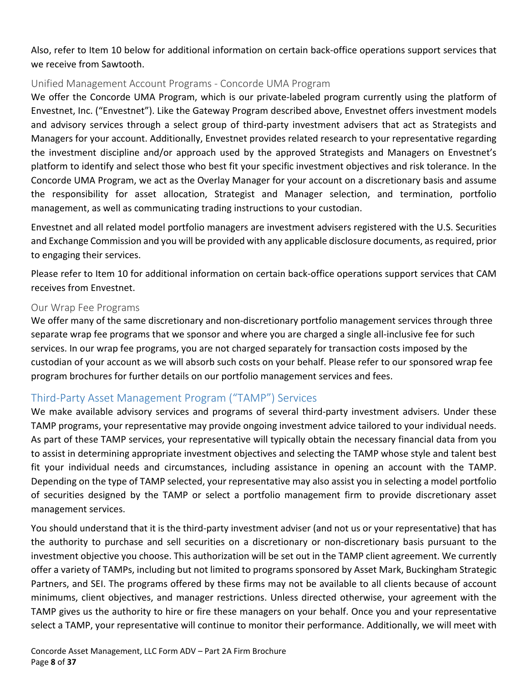Also, refer to Item 10 below for additional information on certain back-office operations support services that we receive from Sawtooth.

#### Unified Management Account Programs - Concorde UMA Program

We offer the Concorde UMA Program, which is our private-labeled program currently using the platform of Envestnet, Inc. ("Envestnet"). Like the Gateway Program described above, Envestnet offers investment models and advisory services through a select group of third-party investment advisers that act as Strategists and Managers for your account. Additionally, Envestnet provides related research to your representative regarding the investment discipline and/or approach used by the approved Strategists and Managers on Envestnet's platform to identify and select those who best fit your specific investment objectives and risk tolerance. In the Concorde UMA Program, we act as the Overlay Manager for your account on a discretionary basis and assume the responsibility for asset allocation, Strategist and Manager selection, and termination, portfolio management, as well as communicating trading instructions to your custodian.

Envestnet and all related model portfolio managers are investment advisers registered with the U.S. Securities and Exchange Commission and you will be provided with any applicable disclosure documents, as required, prior to engaging their services.

Please refer to Item 10 for additional information on certain back-office operations support services that CAM receives from Envestnet.

#### Our Wrap Fee Programs

We offer many of the same discretionary and non-discretionary portfolio management services through three separate wrap fee programs that we sponsor and where you are charged a single all-inclusive fee for such services. In our wrap fee programs, you are not charged separately for transaction costs imposed by the custodian of your account as we will absorb such costs on your behalf. Please refer to our sponsored wrap fee program brochures for further details on our portfolio management services and fees.

#### <span id="page-7-0"></span>Third-Party Asset Management Program ("TAMP") Services

We make available advisory services and programs of several third-party investment advisers. Under these TAMP programs, your representative may provide ongoing investment advice tailored to your individual needs. As part of these TAMP services, your representative will typically obtain the necessary financial data from you to assist in determining appropriate investment objectives and selecting the TAMP whose style and talent best fit your individual needs and circumstances, including assistance in opening an account with the TAMP. Depending on the type of TAMP selected, your representative may also assist you in selecting a model portfolio of securities designed by the TAMP or select a portfolio management firm to provide discretionary asset management services.

You should understand that it is the third-party investment adviser (and not us or your representative) that has the authority to purchase and sell securities on a discretionary or non-discretionary basis pursuant to the investment objective you choose. This authorization will be set out in the TAMP client agreement. We currently offer a variety of TAMPs, including but not limited to programs sponsored by Asset Mark, Buckingham Strategic Partners, and SEI. The programs offered by these firms may not be available to all clients because of account minimums, client objectives, and manager restrictions. Unless directed otherwise, your agreement with the TAMP gives us the authority to hire or fire these managers on your behalf. Once you and your representative select a TAMP, your representative will continue to monitor their performance. Additionally, we will meet with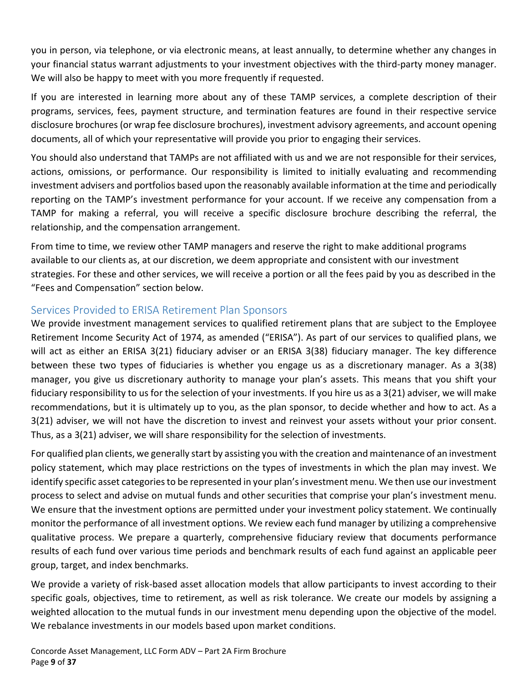you in person, via telephone, or via electronic means, at least annually, to determine whether any changes in your financial status warrant adjustments to your investment objectives with the third-party money manager. We will also be happy to meet with you more frequently if requested.

If you are interested in learning more about any of these TAMP services, a complete description of their programs, services, fees, payment structure, and termination features are found in their respective service disclosure brochures (or wrap fee disclosure brochures), investment advisory agreements, and account opening documents, all of which your representative will provide you prior to engaging their services.

You should also understand that TAMPs are not affiliated with us and we are not responsible for their services, actions, omissions, or performance. Our responsibility is limited to initially evaluating and recommending investment advisers and portfolios based upon the reasonably available information at the time and periodically reporting on the TAMP's investment performance for your account. If we receive any compensation from a TAMP for making a referral, you will receive a specific disclosure brochure describing the referral, the relationship, and the compensation arrangement.

From time to time, we review other TAMP managers and reserve the right to make additional programs available to our clients as, at our discretion, we deem appropriate and consistent with our investment strategies. For these and other services, we will receive a portion or all the fees paid by you as described in the "Fees and Compensation" section below.

#### <span id="page-8-0"></span>Services Provided to ERISA Retirement Plan Sponsors

We provide investment management services to qualified retirement plans that are subject to the Employee Retirement Income Security Act of 1974, as amended ("ERISA"). As part of our services to qualified plans, we will act as either an ERISA 3(21) fiduciary adviser or an ERISA 3(38) fiduciary manager. The key difference between these two types of fiduciaries is whether you engage us as a discretionary manager. As a 3(38) manager, you give us discretionary authority to manage your plan's assets. This means that you shift your fiduciary responsibility to us for the selection of your investments. If you hire us as a 3(21) adviser, we will make recommendations, but it is ultimately up to you, as the plan sponsor, to decide whether and how to act. As a 3(21) adviser, we will not have the discretion to invest and reinvest your assets without your prior consent. Thus, as a 3(21) adviser, we will share responsibility for the selection of investments.

For qualified plan clients, we generally start by assisting you with the creation and maintenance of an investment policy statement, which may place restrictions on the types of investments in which the plan may invest. We identify specific asset categories to be represented in your plan's investment menu. We then use our investment process to select and advise on mutual funds and other securities that comprise your plan's investment menu. We ensure that the investment options are permitted under your investment policy statement. We continually monitor the performance of all investment options. We review each fund manager by utilizing a comprehensive qualitative process. We prepare a quarterly, comprehensive fiduciary review that documents performance results of each fund over various time periods and benchmark results of each fund against an applicable peer group, target, and index benchmarks.

We provide a variety of risk-based asset allocation models that allow participants to invest according to their specific goals, objectives, time to retirement, as well as risk tolerance. We create our models by assigning a weighted allocation to the mutual funds in our investment menu depending upon the objective of the model. We rebalance investments in our models based upon market conditions.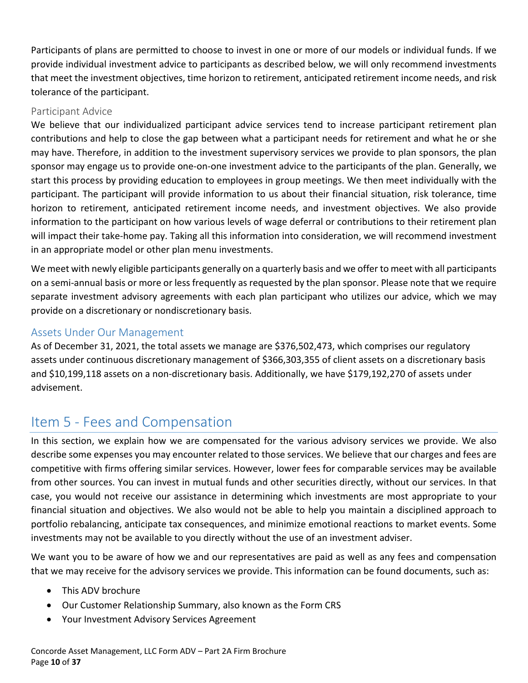Participants of plans are permitted to choose to invest in one or more of our models or individual funds. If we provide individual investment advice to participants as described below, we will only recommend investments that meet the investment objectives, time horizon to retirement, anticipated retirement income needs, and risk tolerance of the participant.

#### Participant Advice

We believe that our individualized participant advice services tend to increase participant retirement plan contributions and help to close the gap between what a participant needs for retirement and what he or she may have. Therefore, in addition to the investment supervisory services we provide to plan sponsors, the plan sponsor may engage us to provide one-on-one investment advice to the participants of the plan. Generally, we start this process by providing education to employees in group meetings. We then meet individually with the participant. The participant will provide information to us about their financial situation, risk tolerance, time horizon to retirement, anticipated retirement income needs, and investment objectives. We also provide information to the participant on how various levels of wage deferral or contributions to their retirement plan will impact their take-home pay. Taking all this information into consideration, we will recommend investment in an appropriate model or other plan menu investments.

We meet with newly eligible participants generally on a quarterly basis and we offer to meet with all participants on a semi-annual basis or more or less frequently as requested by the plan sponsor. Please note that we require separate investment advisory agreements with each plan participant who utilizes our advice, which we may provide on a discretionary or nondiscretionary basis.

#### <span id="page-9-0"></span>Assets Under Our Management

As of December 31, 2021, the total assets we manage are \$376,502,473, which comprises our regulatory assets under continuous discretionary management of \$366,303,355 of client assets on a discretionary basis and \$10,199,118 assets on a non-discretionary basis. Additionally, we have \$179,192,270 of assets under advisement.

## <span id="page-9-1"></span>Item 5 - Fees and Compensation

In this section, we explain how we are compensated for the various advisory services we provide. We also describe some expenses you may encounter related to those services. We believe that our charges and fees are competitive with firms offering similar services. However, lower fees for comparable services may be available from other sources. You can invest in mutual funds and other securities directly, without our services. In that case, you would not receive our assistance in determining which investments are most appropriate to your financial situation and objectives. We also would not be able to help you maintain a disciplined approach to portfolio rebalancing, anticipate tax consequences, and minimize emotional reactions to market events. Some investments may not be available to you directly without the use of an investment adviser.

We want you to be aware of how we and our representatives are paid as well as any fees and compensation that we may receive for the advisory services we provide. This information can be found documents, such as:

- This ADV brochure
- Our Customer Relationship Summary, also known as the Form CRS
- Your Investment Advisory Services Agreement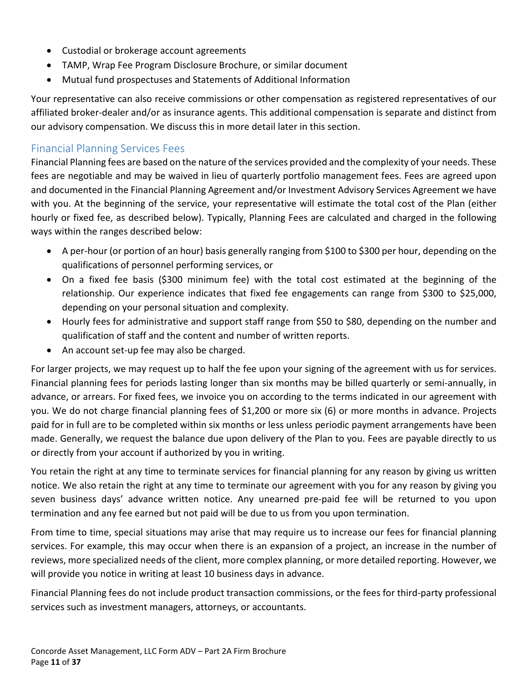- Custodial or brokerage account agreements
- TAMP, Wrap Fee Program Disclosure Brochure, or similar document
- Mutual fund prospectuses and Statements of Additional Information

Your representative can also receive commissions or other compensation as registered representatives of our affiliated broker-dealer and/or as insurance agents. This additional compensation is separate and distinct from our advisory compensation. We discuss this in more detail later in this section.

#### <span id="page-10-0"></span>Financial Planning Services Fees

Financial Planning fees are based on the nature of the services provided and the complexity of your needs. These fees are negotiable and may be waived in lieu of quarterly portfolio management fees. Fees are agreed upon and documented in the Financial Planning Agreement and/or Investment Advisory Services Agreement we have with you. At the beginning of the service, your representative will estimate the total cost of the Plan (either hourly or fixed fee, as described below). Typically, Planning Fees are calculated and charged in the following ways within the ranges described below:

- A per-hour (or portion of an hour) basis generally ranging from \$100 to \$300 per hour, depending on the qualifications of personnel performing services, or
- On a fixed fee basis (\$300 minimum fee) with the total cost estimated at the beginning of the relationship. Our experience indicates that fixed fee engagements can range from \$300 to \$25,000, depending on your personal situation and complexity.
- Hourly fees for administrative and support staff range from \$50 to \$80, depending on the number and qualification of staff and the content and number of written reports.
- An account set-up fee may also be charged.

For larger projects, we may request up to half the fee upon your signing of the agreement with us for services. Financial planning fees for periods lasting longer than six months may be billed quarterly or semi-annually, in advance, or arrears. For fixed fees, we invoice you on according to the terms indicated in our agreement with you. We do not charge financial planning fees of \$1,200 or more six (6) or more months in advance. Projects paid for in full are to be completed within six months or less unless periodic payment arrangements have been made. Generally, we request the balance due upon delivery of the Plan to you. Fees are payable directly to us or directly from your account if authorized by you in writing.

You retain the right at any time to terminate services for financial planning for any reason by giving us written notice. We also retain the right at any time to terminate our agreement with you for any reason by giving you seven business days' advance written notice. Any unearned pre-paid fee will be returned to you upon termination and any fee earned but not paid will be due to us from you upon termination.

From time to time, special situations may arise that may require us to increase our fees for financial planning services. For example, this may occur when there is an expansion of a project, an increase in the number of reviews, more specialized needs of the client, more complex planning, or more detailed reporting. However, we will provide you notice in writing at least 10 business days in advance.

Financial Planning fees do not include product transaction commissions, or the fees for third-party professional services such as investment managers, attorneys, or accountants.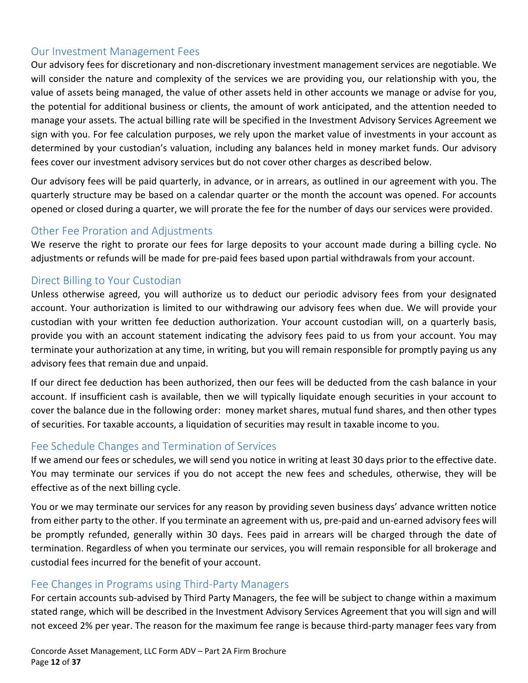#### <span id="page-11-0"></span>Our Investment Management Fees

Our advisory fees for discretionary and non-discretionary investment management services are negotiable. We will consider the nature and complexity of the services we are providing you, our relationship with you, the value of assets being managed, the value of other assets held in other accounts we manage or advise for you, the potential for additional business or clients, the amount of work anticipated, and the attention needed to manage your assets. The actual billing rate will be specified in the Investment Advisory Services Agreement we sign with you. For fee calculation purposes, we rely upon the market value of investments in your account as determined by your custodian's valuation, including any balances held in money market funds. Our advisory fees cover our investment advisory services but do not cover other charges as described below.

Our advisory fees will be paid quarterly, in advance, or in arrears, as outlined in our agreement with you. The quarterly structure may be based on a calendar quarter or the month the account was opened. For accounts opened or closed during a quarter, we will prorate the fee for the number of days our services were provided.

#### <span id="page-11-1"></span>Other Fee Proration and Adjustments

We reserve the right to prorate our fees for large deposits to your account made during a billing cycle. No adjustments or refunds will be made for pre-paid fees based upon partial withdrawals from your account.

#### <span id="page-11-2"></span>Direct Billing to Your Custodian

Unless otherwise agreed, you will authorize us to deduct our periodic advisory fees from your designated account. Your authorization is limited to our withdrawing our advisory fees when due. We will provide your custodian with your written fee deduction authorization. Your account custodian will, on a quarterly basis, provide you with an account statement indicating the advisory fees paid to us from your account. You may terminate your authorization at any time, in writing, but you will remain responsible for promptly paying us any advisory fees that remain due and unpaid.

If our direct fee deduction has been authorized, then our fees will be deducted from the cash balance in your account. If insufficient cash is available, then we will typically liquidate enough securities in your account to cover the balance due in the following order: money market shares, mutual fund shares, and then other types of securities. For taxable accounts, a liquidation of securities may result in taxable income to you.

#### <span id="page-11-3"></span>Fee Schedule Changes and Termination of Services

If we amend our fees or schedules, we will send you notice in writing at least 30 days prior to the effective date. You may terminate our services if you do not accept the new fees and schedules, otherwise, they will be effective as of the next billing cycle.

You or we may terminate our services for any reason by providing seven business days' advance written notice from either party to the other. If you terminate an agreement with us, pre-paid and un-earned advisory fees will be promptly refunded, generally within 30 days. Fees paid in arrears will be charged through the date of termination. Regardless of when you terminate our services, you will remain responsible for all brokerage and custodial fees incurred for the benefit of your account.

#### <span id="page-11-4"></span>Fee Changes in Programs using Third-Party Managers

For certain accounts sub-advised by Third Party Managers, the fee will be subject to change within a maximum stated range, which will be described in the Investment Advisory Services Agreement that you will sign and will not exceed 2% per year. The reason for the maximum fee range is because third-party manager fees vary from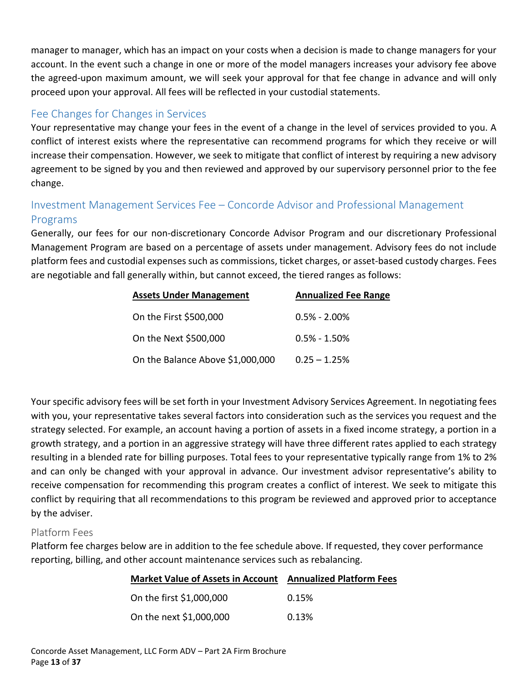manager to manager, which has an impact on your costs when a decision is made to change managers for your account. In the event such a change in one or more of the model managers increases your advisory fee above the agreed-upon maximum amount, we will seek your approval for that fee change in advance and will only proceed upon your approval. All fees will be reflected in your custodial statements.

#### <span id="page-12-0"></span>Fee Changes for Changes in Services

Your representative may change your fees in the event of a change in the level of services provided to you. A conflict of interest exists where the representative can recommend programs for which they receive or will increase their compensation. However, we seek to mitigate that conflict of interest by requiring a new advisory agreement to be signed by you and then reviewed and approved by our supervisory personnel prior to the fee change.

#### <span id="page-12-1"></span>Investment Management Services Fee – Concorde Advisor and Professional Management Programs

Generally, our fees for our non-discretionary Concorde Advisor Program and our discretionary Professional Management Program are based on a percentage of assets under management. Advisory fees do not include platform fees and custodial expenses such as commissions, ticket charges, or asset-based custody charges. Fees are negotiable and fall generally within, but cannot exceed, the tiered ranges as follows:

| <b>Assets Under Management</b>   | <b>Annualized Fee Range</b> |  |
|----------------------------------|-----------------------------|--|
| On the First \$500,000           | $0.5\% - 2.00\%$            |  |
| On the Next \$500,000            | $0.5\% - 1.50\%$            |  |
| On the Balance Above \$1,000,000 | $0.25 - 1.25%$              |  |

Your specific advisory fees will be set forth in your Investment Advisory Services Agreement. In negotiating fees with you, your representative takes several factors into consideration such as the services you request and the strategy selected. For example, an account having a portion of assets in a fixed income strategy, a portion in a growth strategy, and a portion in an aggressive strategy will have three different rates applied to each strategy resulting in a blended rate for billing purposes. Total fees to your representative typically range from 1% to 2% and can only be changed with your approval in advance. Our investment advisor representative's ability to receive compensation for recommending this program creates a conflict of interest. We seek to mitigate this conflict by requiring that all recommendations to this program be reviewed and approved prior to acceptance by the adviser.

#### Platform Fees

Platform fee charges below are in addition to the fee schedule above. If requested, they cover performance reporting, billing, and other account maintenance services such as rebalancing.

| Market Value of Assets in Account Annualized Platform Fees |       |
|------------------------------------------------------------|-------|
| On the first \$1,000,000                                   | 0.15% |
| On the next \$1,000,000                                    | 0.13% |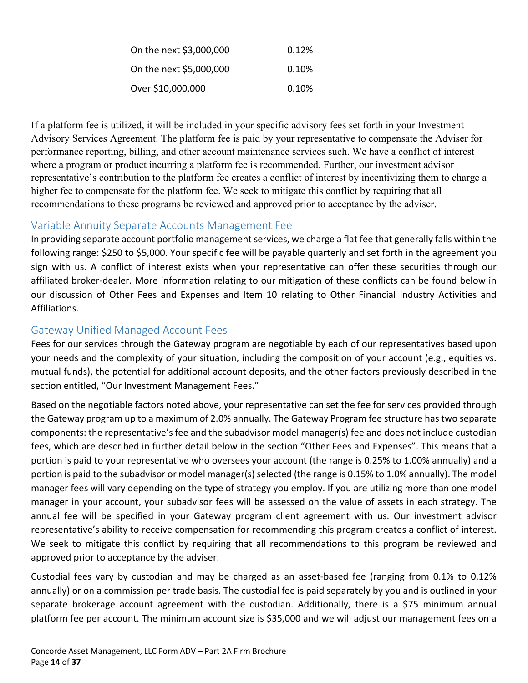| On the next \$3,000,000 | 0.12% |
|-------------------------|-------|
| On the next \$5,000,000 | 0.10% |
| Over \$10,000,000       | 0.10% |

If a platform fee is utilized, it will be included in your specific advisory fees set forth in your Investment Advisory Services Agreement. The platform fee is paid by your representative to compensate the Adviser for performance reporting, billing, and other account maintenance services such. We have a conflict of interest where a program or product incurring a platform fee is recommended. Further, our investment advisor representative's contribution to the platform fee creates a conflict of interest by incentivizing them to charge a higher fee to compensate for the platform fee. We seek to mitigate this conflict by requiring that all recommendations to these programs be reviewed and approved prior to acceptance by the adviser.

#### <span id="page-13-0"></span>Variable Annuity Separate Accounts Management Fee

In providing separate account portfolio management services, we charge a flat fee that generally falls within the following range: \$250 to \$5,000. Your specific fee will be payable quarterly and set forth in the agreement you sign with us. A conflict of interest exists when your representative can offer these securities through our affiliated broker-dealer. More information relating to our mitigation of these conflicts can be found below in our discussion of Other Fees and Expenses and Item 10 relating to Other Financial Industry Activities and Affiliations.

#### <span id="page-13-1"></span>Gateway Unified Managed Account Fees

Fees for our services through the Gateway program are negotiable by each of our representatives based upon your needs and the complexity of your situation, including the composition of your account (e.g., equities vs. mutual funds), the potential for additional account deposits, and the other factors previously described in the section entitled, "Our Investment Management Fees."

Based on the negotiable factors noted above, your representative can set the fee for services provided through the Gateway program up to a maximum of 2.0% annually. The Gateway Program fee structure has two separate components: the representative's fee and the subadvisor model manager(s) fee and does not include custodian fees, which are described in further detail below in the section "Other Fees and Expenses". This means that a portion is paid to your representative who oversees your account (the range is 0.25% to 1.00% annually) and a portion is paid to the subadvisor or model manager(s) selected (the range is 0.15% to 1.0% annually). The model manager fees will vary depending on the type of strategy you employ. If you are utilizing more than one model manager in your account, your subadvisor fees will be assessed on the value of assets in each strategy. The annual fee will be specified in your Gateway program client agreement with us. Our investment advisor representative's ability to receive compensation for recommending this program creates a conflict of interest. We seek to mitigate this conflict by requiring that all recommendations to this program be reviewed and approved prior to acceptance by the adviser.

Custodial fees vary by custodian and may be charged as an asset-based fee (ranging from 0.1% to 0.12% annually) or on a commission per trade basis. The custodial fee is paid separately by you and is outlined in your separate brokerage account agreement with the custodian. Additionally, there is a \$75 minimum annual platform fee per account. The minimum account size is \$35,000 and we will adjust our management fees on a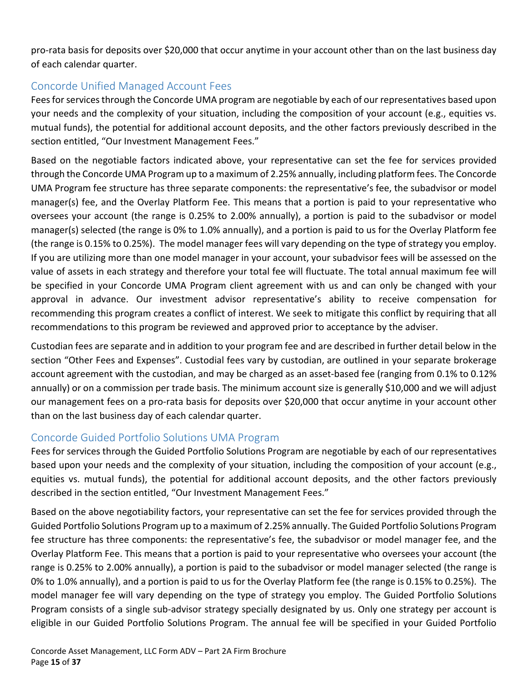pro-rata basis for deposits over \$20,000 that occur anytime in your account other than on the last business day of each calendar quarter.

#### <span id="page-14-0"></span>Concorde Unified Managed Account Fees

Fees for services through the Concorde UMA program are negotiable by each of our representatives based upon your needs and the complexity of your situation, including the composition of your account (e.g., equities vs. mutual funds), the potential for additional account deposits, and the other factors previously described in the section entitled, "Our Investment Management Fees."

Based on the negotiable factors indicated above, your representative can set the fee for services provided through the Concorde UMA Program up to a maximum of 2.25% annually, including platform fees. The Concorde UMA Program fee structure has three separate components: the representative's fee, the subadvisor or model manager(s) fee, and the Overlay Platform Fee. This means that a portion is paid to your representative who oversees your account (the range is 0.25% to 2.00% annually), a portion is paid to the subadvisor or model manager(s) selected (the range is 0% to 1.0% annually), and a portion is paid to us for the Overlay Platform fee (the range is 0.15% to 0.25%). The model manager fees will vary depending on the type of strategy you employ. If you are utilizing more than one model manager in your account, your subadvisor fees will be assessed on the value of assets in each strategy and therefore your total fee will fluctuate. The total annual maximum fee will be specified in your Concorde UMA Program client agreement with us and can only be changed with your approval in advance. Our investment advisor representative's ability to receive compensation for recommending this program creates a conflict of interest. We seek to mitigate this conflict by requiring that all recommendations to this program be reviewed and approved prior to acceptance by the adviser.

Custodian fees are separate and in addition to your program fee and are described in further detail below in the section "Other Fees and Expenses". Custodial fees vary by custodian, are outlined in your separate brokerage account agreement with the custodian, and may be charged as an asset-based fee (ranging from 0.1% to 0.12% annually) or on a commission per trade basis. The minimum account size is generally \$10,000 and we will adjust our management fees on a pro-rata basis for deposits over \$20,000 that occur anytime in your account other than on the last business day of each calendar quarter.

#### <span id="page-14-1"></span>Concorde Guided Portfolio Solutions UMA Program

Fees for services through the Guided Portfolio Solutions Program are negotiable by each of our representatives based upon your needs and the complexity of your situation, including the composition of your account (e.g., equities vs. mutual funds), the potential for additional account deposits, and the other factors previously described in the section entitled, "Our Investment Management Fees."

Based on the above negotiability factors, your representative can set the fee for services provided through the Guided Portfolio Solutions Program up to a maximum of 2.25% annually. The Guided Portfolio Solutions Program fee structure has three components: the representative's fee, the subadvisor or model manager fee, and the Overlay Platform Fee. This means that a portion is paid to your representative who oversees your account (the range is 0.25% to 2.00% annually), a portion is paid to the subadvisor or model manager selected (the range is 0% to 1.0% annually), and a portion is paid to us for the Overlay Platform fee (the range is 0.15% to 0.25%). The model manager fee will vary depending on the type of strategy you employ. The Guided Portfolio Solutions Program consists of a single sub-advisor strategy specially designated by us. Only one strategy per account is eligible in our Guided Portfolio Solutions Program. The annual fee will be specified in your Guided Portfolio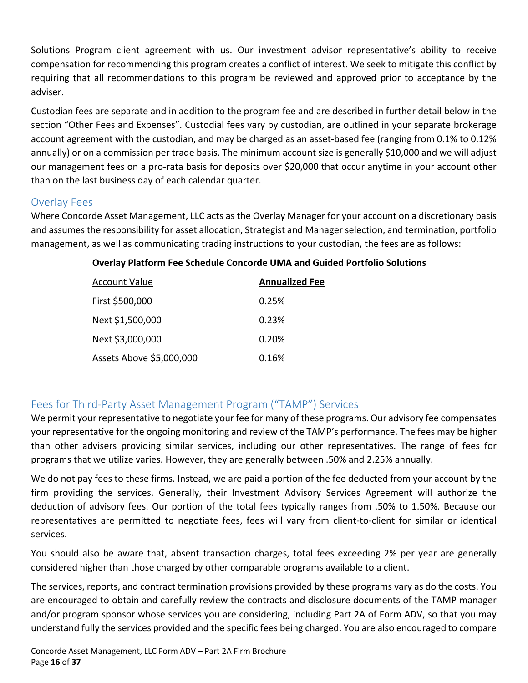Solutions Program client agreement with us. Our investment advisor representative's ability to receive compensation for recommending this program creates a conflict of interest. We seek to mitigate this conflict by requiring that all recommendations to this program be reviewed and approved prior to acceptance by the adviser.

Custodian fees are separate and in addition to the program fee and are described in further detail below in the section "Other Fees and Expenses". Custodial fees vary by custodian, are outlined in your separate brokerage account agreement with the custodian, and may be charged as an asset-based fee (ranging from 0.1% to 0.12% annually) or on a commission per trade basis. The minimum account size is generally \$10,000 and we will adjust our management fees on a pro-rata basis for deposits over \$20,000 that occur anytime in your account other than on the last business day of each calendar quarter.

#### <span id="page-15-0"></span>Overlay Fees

Where Concorde Asset Management, LLC acts as the Overlay Manager for your account on a discretionary basis and assumes the responsibility for asset allocation, Strategist and Manager selection, and termination, portfolio management, as well as communicating trading instructions to your custodian, the fees are as follows:

| <b>Account Value</b>     | <b>Annualized Fee</b> |
|--------------------------|-----------------------|
| First \$500,000          | 0.25%                 |
| Next \$1,500,000         | 0.23%                 |
| Next \$3,000,000         | 0.20%                 |
| Assets Above \$5,000,000 | 0.16%                 |

#### **Overlay Platform Fee Schedule Concorde UMA and Guided Portfolio Solutions**

#### <span id="page-15-1"></span>Fees for Third-Party Asset Management Program ("TAMP") Services

We permit your representative to negotiate your fee for many of these programs. Our advisory fee compensates your representative for the ongoing monitoring and review of the TAMP's performance. The fees may be higher than other advisers providing similar services, including our other representatives. The range of fees for programs that we utilize varies. However, they are generally between .50% and 2.25% annually.

We do not pay fees to these firms. Instead, we are paid a portion of the fee deducted from your account by the firm providing the services. Generally, their Investment Advisory Services Agreement will authorize the deduction of advisory fees. Our portion of the total fees typically ranges from .50% to 1.50%. Because our representatives are permitted to negotiate fees, fees will vary from client-to-client for similar or identical services.

You should also be aware that, absent transaction charges, total fees exceeding 2% per year are generally considered higher than those charged by other comparable programs available to a client.

The services, reports, and contract termination provisions provided by these programs vary as do the costs. You are encouraged to obtain and carefully review the contracts and disclosure documents of the TAMP manager and/or program sponsor whose services you are considering, including Part 2A of Form ADV, so that you may understand fully the services provided and the specific fees being charged. You are also encouraged to compare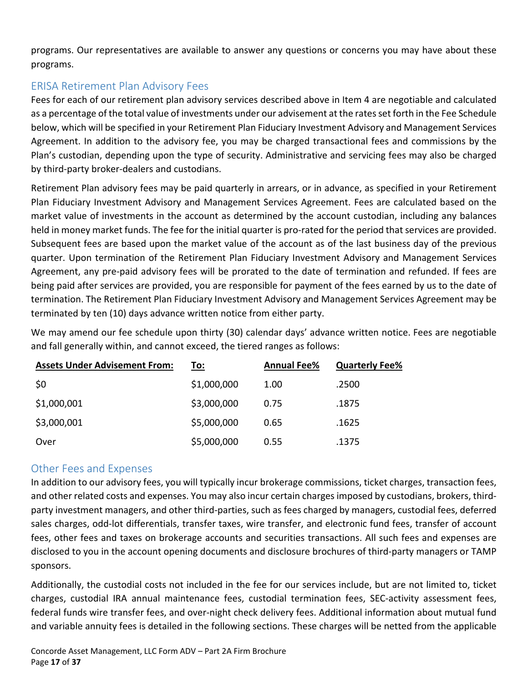programs. Our representatives are available to answer any questions or concerns you may have about these programs.

#### <span id="page-16-0"></span>ERISA Retirement Plan Advisory Fees

Fees for each of our retirement plan advisory services described above in Item 4 are negotiable and calculated as a percentage of the total value of investments under our advisement at the rates set forth in the Fee Schedule below, which will be specified in your Retirement Plan Fiduciary Investment Advisory and Management Services Agreement. In addition to the advisory fee, you may be charged transactional fees and commissions by the Plan's custodian, depending upon the type of security. Administrative and servicing fees may also be charged by third-party broker-dealers and custodians.

Retirement Plan advisory fees may be paid quarterly in arrears, or in advance, as specified in your Retirement Plan Fiduciary Investment Advisory and Management Services Agreement. Fees are calculated based on the market value of investments in the account as determined by the account custodian, including any balances held in money market funds. The fee for the initial quarter is pro-rated for the period that services are provided. Subsequent fees are based upon the market value of the account as of the last business day of the previous quarter. Upon termination of the Retirement Plan Fiduciary Investment Advisory and Management Services Agreement, any pre-paid advisory fees will be prorated to the date of termination and refunded. If fees are being paid after services are provided, you are responsible for payment of the fees earned by us to the date of termination. The Retirement Plan Fiduciary Investment Advisory and Management Services Agreement may be terminated by ten (10) days advance written notice from either party.

We may amend our fee schedule upon thirty (30) calendar days' advance written notice. Fees are negotiable and fall generally within, and cannot exceed, the tiered ranges as follows:

| <b>Assets Under Advisement From:</b> | To:         | <b>Annual Fee%</b> | <b>Quarterly Fee%</b> |
|--------------------------------------|-------------|--------------------|-----------------------|
| \$0                                  | \$1,000,000 | 1.00               | .2500                 |
| \$1,000,001                          | \$3,000,000 | 0.75               | .1875                 |
| \$3,000,001                          | \$5,000,000 | 0.65               | .1625                 |
| Over                                 | \$5,000,000 | 0.55               | .1375                 |

#### <span id="page-16-1"></span>Other Fees and Expenses

In addition to our advisory fees, you will typically incur brokerage commissions, ticket charges, transaction fees, and other related costs and expenses. You may also incur certain charges imposed by custodians, brokers, thirdparty investment managers, and other third-parties, such as fees charged by managers, custodial fees, deferred sales charges, odd-lot differentials, transfer taxes, wire transfer, and electronic fund fees, transfer of account fees, other fees and taxes on brokerage accounts and securities transactions. All such fees and expenses are disclosed to you in the account opening documents and disclosure brochures of third-party managers or TAMP sponsors.

Additionally, the custodial costs not included in the fee for our services include, but are not limited to, ticket charges, custodial IRA annual maintenance fees, custodial termination fees, SEC-activity assessment fees, federal funds wire transfer fees, and over-night check delivery fees. Additional information about mutual fund and variable annuity fees is detailed in the following sections. These charges will be netted from the applicable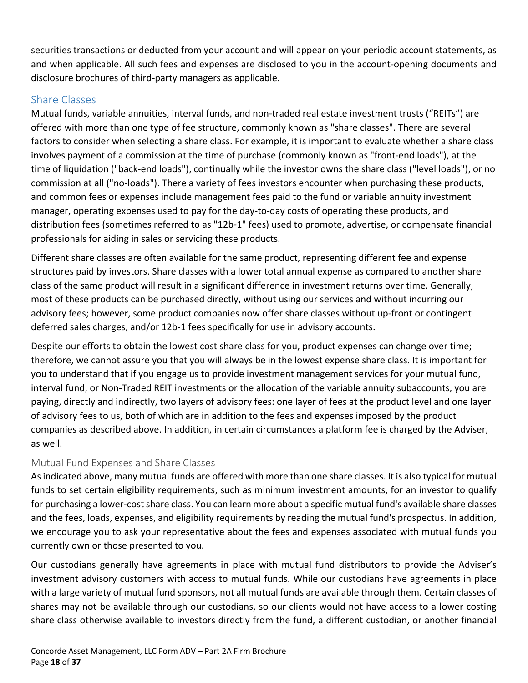securities transactions or deducted from your account and will appear on your periodic account statements, as and when applicable. All such fees and expenses are disclosed to you in the account-opening documents and disclosure brochures of third-party managers as applicable.

#### <span id="page-17-0"></span>Share Classes

Mutual funds, variable annuities, interval funds, and non-traded real estate investment trusts ("REITs") are offered with more than one type of fee structure, commonly known as "share classes". There are several factors to consider when selecting a share class. For example, it is important to evaluate whether a share class involves payment of a commission at the time of purchase (commonly known as "front-end loads"), at the time of liquidation ("back-end loads"), continually while the investor owns the share class ("level loads"), or no commission at all ("no-loads"). There a variety of fees investors encounter when purchasing these products, and common fees or expenses include management fees paid to the fund or variable annuity investment manager, operating expenses used to pay for the day-to-day costs of operating these products, and distribution fees (sometimes referred to as "12b-1" fees) used to promote, advertise, or compensate financial professionals for aiding in sales or servicing these products.

Different share classes are often available for the same product, representing different fee and expense structures paid by investors. Share classes with a lower total annual expense as compared to another share class of the same product will result in a significant difference in investment returns over time. Generally, most of these products can be purchased directly, without using our services and without incurring our advisory fees; however, some product companies now offer share classes without up-front or contingent deferred sales charges, and/or 12b-1 fees specifically for use in advisory accounts.

Despite our efforts to obtain the lowest cost share class for you, product expenses can change over time; therefore, we cannot assure you that you will always be in the lowest expense share class. It is important for you to understand that if you engage us to provide investment management services for your mutual fund, interval fund, or Non-Traded REIT investments or the allocation of the variable annuity subaccounts, you are paying, directly and indirectly, two layers of advisory fees: one layer of fees at the product level and one layer of advisory fees to us, both of which are in addition to the fees and expenses imposed by the product companies as described above. In addition, in certain circumstances a platform fee is charged by the Adviser, as well.

#### Mutual Fund Expenses and Share Classes

As indicated above, many mutual funds are offered with more than one share classes. It is also typical for mutual funds to set certain eligibility requirements, such as minimum investment amounts, for an investor to qualify for purchasing a lower-cost share class. You can learn more about a specific mutual fund's available share classes and the fees, loads, expenses, and eligibility requirements by reading the mutual fund's prospectus. In addition, we encourage you to ask your representative about the fees and expenses associated with mutual funds you currently own or those presented to you.

Our custodians generally have agreements in place with mutual fund distributors to provide the Adviser's investment advisory customers with access to mutual funds. While our custodians have agreements in place with a large variety of mutual fund sponsors, not all mutual funds are available through them. Certain classes of shares may not be available through our custodians, so our clients would not have access to a lower costing share class otherwise available to investors directly from the fund, a different custodian, or another financial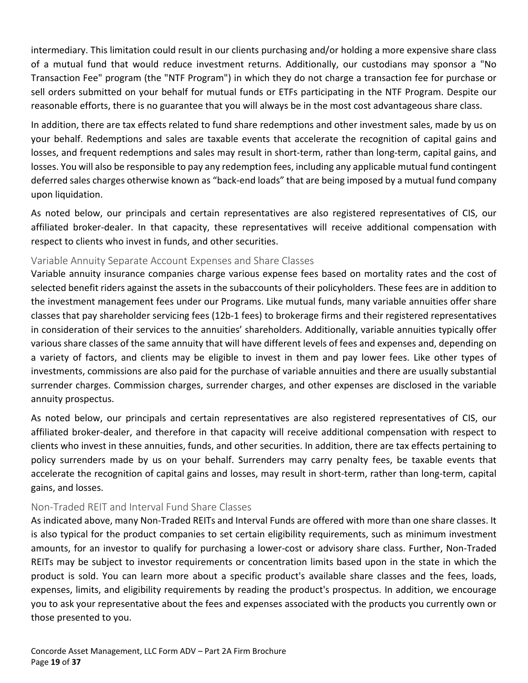intermediary. This limitation could result in our clients purchasing and/or holding a more expensive share class of a mutual fund that would reduce investment returns. Additionally, our custodians may sponsor a "No Transaction Fee" program (the "NTF Program") in which they do not charge a transaction fee for purchase or sell orders submitted on your behalf for mutual funds or ETFs participating in the NTF Program. Despite our reasonable efforts, there is no guarantee that you will always be in the most cost advantageous share class.

In addition, there are tax effects related to fund share redemptions and other investment sales, made by us on your behalf. Redemptions and sales are taxable events that accelerate the recognition of capital gains and losses, and frequent redemptions and sales may result in short-term, rather than long-term, capital gains, and losses. You will also be responsible to pay any redemption fees, including any applicable mutual fund contingent deferred sales charges otherwise known as "back-end loads" that are being imposed by a mutual fund company upon liquidation.

As noted below, our principals and certain representatives are also registered representatives of CIS, our affiliated broker-dealer. In that capacity, these representatives will receive additional compensation with respect to clients who invest in funds, and other securities.

#### Variable Annuity Separate Account Expenses and Share Classes

Variable annuity insurance companies charge various expense fees based on mortality rates and the cost of selected benefit riders against the assets in the subaccounts of their policyholders. These fees are in addition to the investment management fees under our Programs. Like mutual funds, many variable annuities offer share classes that pay shareholder servicing fees (12b-1 fees) to brokerage firms and their registered representatives in consideration of their services to the annuities' shareholders. Additionally, variable annuities typically offer various share classes of the same annuity that will have different levels of fees and expenses and, depending on a variety of factors, and clients may be eligible to invest in them and pay lower fees. Like other types of investments, commissions are also paid for the purchase of variable annuities and there are usually substantial surrender charges. Commission charges, surrender charges, and other expenses are disclosed in the variable annuity prospectus.

As noted below, our principals and certain representatives are also registered representatives of CIS, our affiliated broker-dealer, and therefore in that capacity will receive additional compensation with respect to clients who invest in these annuities, funds, and other securities. In addition, there are tax effects pertaining to policy surrenders made by us on your behalf. Surrenders may carry penalty fees, be taxable events that accelerate the recognition of capital gains and losses, may result in short-term, rather than long-term, capital gains, and losses.

#### Non-Traded REIT and Interval Fund Share Classes

As indicated above, many Non-Traded REITs and Interval Funds are offered with more than one share classes. It is also typical for the product companies to set certain eligibility requirements, such as minimum investment amounts, for an investor to qualify for purchasing a lower-cost or advisory share class. Further, Non-Traded REITs may be subject to investor requirements or concentration limits based upon in the state in which the product is sold. You can learn more about a specific product's available share classes and the fees, loads, expenses, limits, and eligibility requirements by reading the product's prospectus. In addition, we encourage you to ask your representative about the fees and expenses associated with the products you currently own or those presented to you.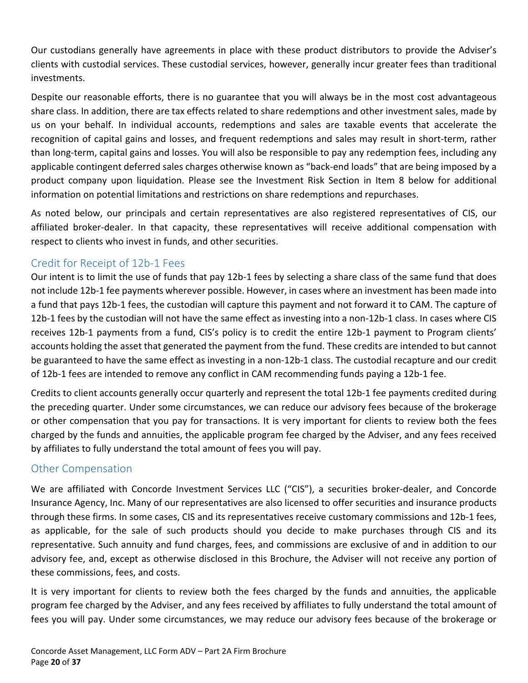Our custodians generally have agreements in place with these product distributors to provide the Adviser's clients with custodial services. These custodial services, however, generally incur greater fees than traditional investments.

Despite our reasonable efforts, there is no guarantee that you will always be in the most cost advantageous share class. In addition, there are tax effects related to share redemptions and other investment sales, made by us on your behalf. In individual accounts, redemptions and sales are taxable events that accelerate the recognition of capital gains and losses, and frequent redemptions and sales may result in short-term, rather than long-term, capital gains and losses. You will also be responsible to pay any redemption fees, including any applicable contingent deferred sales charges otherwise known as "back-end loads" that are being imposed by a product company upon liquidation. Please see the Investment Risk Section in Item 8 below for additional information on potential limitations and restrictions on share redemptions and repurchases.

As noted below, our principals and certain representatives are also registered representatives of CIS, our affiliated broker-dealer. In that capacity, these representatives will receive additional compensation with respect to clients who invest in funds, and other securities.

#### <span id="page-19-0"></span>Credit for Receipt of 12b-1 Fees

Our intent is to limit the use of funds that pay 12b-1 fees by selecting a share class of the same fund that does not include 12b-1 fee payments wherever possible. However, in cases where an investment has been made into a fund that pays 12b-1 fees, the custodian will capture this payment and not forward it to CAM. The capture of 12b-1 fees by the custodian will not have the same effect as investing into a non-12b-1 class. In cases where CIS receives 12b-1 payments from a fund, CIS's policy is to credit the entire 12b-1 payment to Program clients' accounts holding the asset that generated the payment from the fund. These credits are intended to but cannot be guaranteed to have the same effect as investing in a non-12b-1 class. The custodial recapture and our credit of 12b-1 fees are intended to remove any conflict in CAM recommending funds paying a 12b-1 fee.

Credits to client accounts generally occur quarterly and represent the total 12b-1 fee payments credited during the preceding quarter. Under some circumstances, we can reduce our advisory fees because of the brokerage or other compensation that you pay for transactions. It is very important for clients to review both the fees charged by the funds and annuities, the applicable program fee charged by the Adviser, and any fees received by affiliates to fully understand the total amount of fees you will pay.

#### <span id="page-19-1"></span>Other Compensation

We are affiliated with Concorde Investment Services LLC ("CIS"), a securities broker-dealer, and Concorde Insurance Agency, Inc. Many of our representatives are also licensed to offer securities and insurance products through these firms. In some cases, CIS and its representatives receive customary commissions and 12b-1 fees, as applicable, for the sale of such products should you decide to make purchases through CIS and its representative. Such annuity and fund charges, fees, and commissions are exclusive of and in addition to our advisory fee, and, except as otherwise disclosed in this Brochure, the Adviser will not receive any portion of these commissions, fees, and costs.

It is very important for clients to review both the fees charged by the funds and annuities, the applicable program fee charged by the Adviser, and any fees received by affiliates to fully understand the total amount of fees you will pay. Under some circumstances, we may reduce our advisory fees because of the brokerage or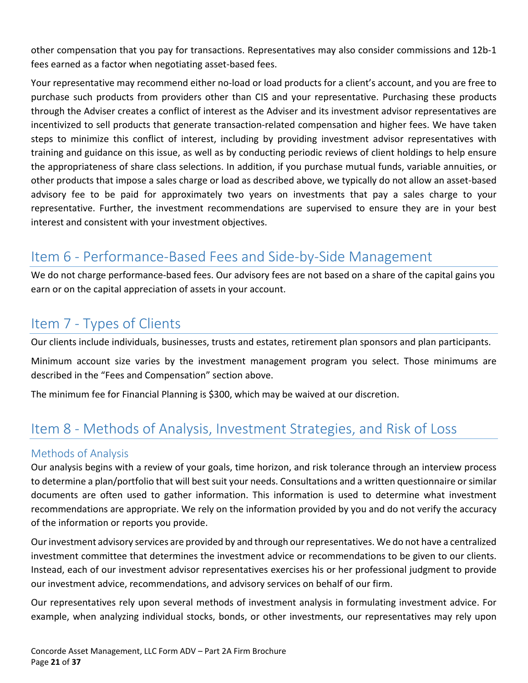other compensation that you pay for transactions. Representatives may also consider commissions and 12b-1 fees earned as a factor when negotiating asset-based fees.

Your representative may recommend either no-load or load products for a client's account, and you are free to purchase such products from providers other than CIS and your representative. Purchasing these products through the Adviser creates a conflict of interest as the Adviser and its investment advisor representatives are incentivized to sell products that generate transaction-related compensation and higher fees. We have taken steps to minimize this conflict of interest, including by providing investment advisor representatives with training and guidance on this issue, as well as by conducting periodic reviews of client holdings to help ensure the appropriateness of share class selections. In addition, if you purchase mutual funds, variable annuities, or other products that impose a sales charge or load as described above, we typically do not allow an asset-based advisory fee to be paid for approximately two years on investments that pay a sales charge to your representative. Further, the investment recommendations are supervised to ensure they are in your best interest and consistent with your investment objectives.

## <span id="page-20-0"></span>Item 6 - Performance-Based Fees and Side-by-Side Management

We do not charge performance-based fees. Our advisory fees are not based on a share of the capital gains you earn or on the capital appreciation of assets in your account.

## <span id="page-20-1"></span>Item 7 - Types of Clients

Our clients include individuals, businesses, trusts and estates, retirement plan sponsors and plan participants.

Minimum account size varies by the investment management program you select. Those minimums are described in the "Fees and Compensation" section above.

The minimum fee for Financial Planning is \$300, which may be waived at our discretion.

## <span id="page-20-2"></span>Item 8 - Methods of Analysis, Investment Strategies, and Risk of Loss

#### <span id="page-20-3"></span>Methods of Analysis

Our analysis begins with a review of your goals, time horizon, and risk tolerance through an interview process to determine a plan/portfolio that will best suit your needs. Consultations and a written questionnaire or similar documents are often used to gather information. This information is used to determine what investment recommendations are appropriate. We rely on the information provided by you and do not verify the accuracy of the information or reports you provide.

Our investment advisory services are provided by and through our representatives. We do not have a centralized investment committee that determines the investment advice or recommendations to be given to our clients. Instead, each of our investment advisor representatives exercises his or her professional judgment to provide our investment advice, recommendations, and advisory services on behalf of our firm.

Our representatives rely upon several methods of investment analysis in formulating investment advice. For example, when analyzing individual stocks, bonds, or other investments, our representatives may rely upon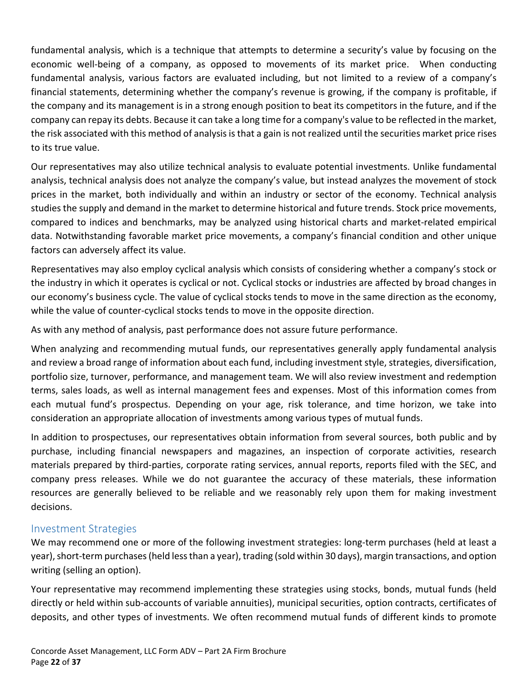fundamental analysis, which is a technique that attempts to determine a security's value by focusing on the economic well-being of a company, as opposed to movements of its market price. When conducting fundamental analysis, various factors are evaluated including, but not limited to a review of a company's financial statements, determining whether the company's revenue is growing, if the company is profitable, if the company and its management is in a strong enough position to beat its competitors in the future, and if the company can repay its debts. Because it can take a long time for a company's value to be reflected in the market, the risk associated with this method of analysis is that a gain is not realized until the securities market price rises to its true value.

Our representatives may also utilize technical analysis to evaluate potential investments. Unlike fundamental analysis, technical analysis does not analyze the company's value, but instead analyzes the movement of stock prices in the market, both individually and within an industry or sector of the economy. Technical analysis studies the supply and demand in the market to determine historical and future trends. Stock price movements, compared to indices and benchmarks, may be analyzed using historical charts and market-related empirical data. Notwithstanding favorable market price movements, a company's financial condition and other unique factors can adversely affect its value.

Representatives may also employ cyclical analysis which consists of considering whether a company's stock or the industry in which it operates is cyclical or not. Cyclical stocks or industries are affected by broad changes in our economy's business cycle. The value of cyclical stocks tends to move in the same direction as the economy, while the value of counter-cyclical stocks tends to move in the opposite direction.

As with any method of analysis, past performance does not assure future performance.

When analyzing and recommending mutual funds, our representatives generally apply fundamental analysis and review a broad range of information about each fund, including investment style, strategies, diversification, portfolio size, turnover, performance, and management team. We will also review investment and redemption terms, sales loads, as well as internal management fees and expenses. Most of this information comes from each mutual fund's prospectus. Depending on your age, risk tolerance, and time horizon, we take into consideration an appropriate allocation of investments among various types of mutual funds.

In addition to prospectuses, our representatives obtain information from several sources, both public and by purchase, including financial newspapers and magazines, an inspection of corporate activities, research materials prepared by third-parties, corporate rating services, annual reports, reports filed with the SEC, and company press releases. While we do not guarantee the accuracy of these materials, these information resources are generally believed to be reliable and we reasonably rely upon them for making investment decisions.

#### <span id="page-21-0"></span>Investment Strategies

We may recommend one or more of the following investment strategies: long-term purchases (held at least a year), short-term purchases (held less than a year), trading (sold within 30 days), margin transactions, and option writing (selling an option).

Your representative may recommend implementing these strategies using stocks, bonds, mutual funds (held directly or held within sub-accounts of variable annuities), municipal securities, option contracts, certificates of deposits, and other types of investments. We often recommend mutual funds of different kinds to promote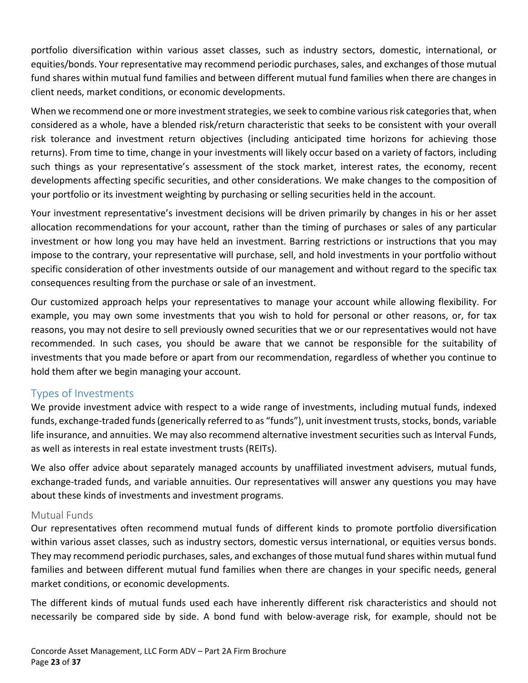portfolio diversification within various asset classes, such as industry sectors, domestic, international, or equities/bonds. Your representative may recommend periodic purchases, sales, and exchanges of those mutual fund shares within mutual fund families and between different mutual fund families when there are changes in client needs, market conditions, or economic developments.

When we recommend one or more investment strategies, we seek to combine various risk categories that, when considered as a whole, have a blended risk/return characteristic that seeks to be consistent with your overall risk tolerance and investment return objectives (including anticipated time horizons for achieving those returns). From time to time, change in your investments will likely occur based on a variety of factors, including such things as your representative's assessment of the stock market, interest rates, the economy, recent developments affecting specific securities, and other considerations. We make changes to the composition of your portfolio or its investment weighting by purchasing or selling securities held in the account.

Your investment representative's investment decisions will be driven primarily by changes in his or her asset allocation recommendations for your account, rather than the timing of purchases or sales of any particular investment or how long you may have held an investment. Barring restrictions or instructions that you may impose to the contrary, your representative will purchase, sell, and hold investments in your portfolio without specific consideration of other investments outside of our management and without regard to the specific tax consequences resulting from the purchase or sale of an investment.

Our customized approach helps your representatives to manage your account while allowing flexibility. For example, you may own some investments that you wish to hold for personal or other reasons, or, for tax reasons, you may not desire to sell previously owned securities that we or our representatives would not have recommended. In such cases, you should be aware that we cannot be responsible for the suitability of investments that you made before or apart from our recommendation, regardless of whether you continue to hold them after we begin managing your account.

#### <span id="page-22-0"></span>Types of Investments

We provide investment advice with respect to a wide range of investments, including mutual funds, indexed funds, exchange-traded funds (generically referred to as "funds"), unit investment trusts, stocks, bonds, variable life insurance, and annuities. We may also recommend alternative investment securities such as Interval Funds, as well as interests in real estate investment trusts (REITs).

We also offer advice about separately managed accounts by unaffiliated investment advisers, mutual funds, exchange-traded funds, and variable annuities. Our representatives will answer any questions you may have about these kinds of investments and investment programs.

#### Mutual Funds

Our representatives often recommend mutual funds of different kinds to promote portfolio diversification within various asset classes, such as industry sectors, domestic versus international, or equities versus bonds. They may recommend periodic purchases, sales, and exchanges of those mutual fund shares within mutual fund families and between different mutual fund families when there are changes in your specific needs, general market conditions, or economic developments.

The different kinds of mutual funds used each have inherently different risk characteristics and should not necessarily be compared side by side. A bond fund with below-average risk, for example, should not be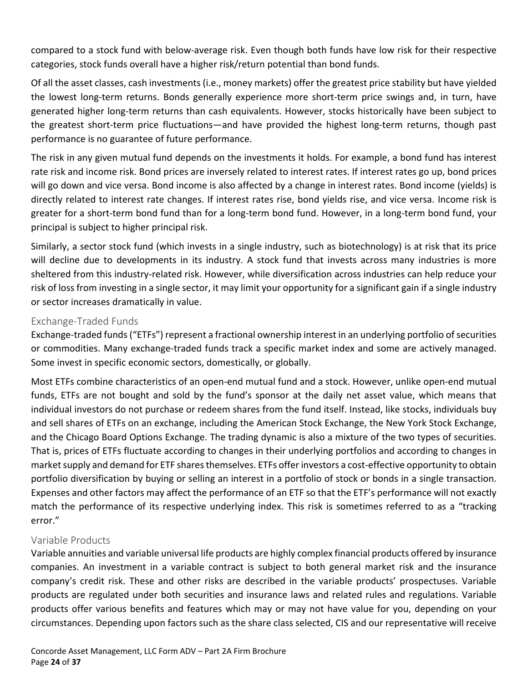compared to a stock fund with below-average risk. Even though both funds have low risk for their respective categories, stock funds overall have a higher risk/return potential than bond funds.

Of all the asset classes, cash investments (i.e., money markets) offer the greatest price stability but have yielded the lowest long-term returns. Bonds generally experience more short-term price swings and, in turn, have generated higher long-term returns than cash equivalents. However, stocks historically have been subject to the greatest short-term price fluctuations—and have provided the highest long-term returns, though past performance is no guarantee of future performance.

The risk in any given mutual fund depends on the investments it holds. For example, a bond fund has interest rate risk and income risk. Bond prices are inversely related to interest rates. If interest rates go up, bond prices will go down and vice versa. Bond income is also affected by a change in interest rates. Bond income (yields) is directly related to interest rate changes. If interest rates rise, bond yields rise, and vice versa. Income risk is greater for a short-term bond fund than for a long-term bond fund. However, in a long-term bond fund, your principal is subject to higher principal risk.

Similarly, a sector stock fund (which invests in a single industry, such as biotechnology) is at risk that its price will decline due to developments in its industry. A stock fund that invests across many industries is more sheltered from this industry-related risk. However, while diversification across industries can help reduce your risk of loss from investing in a single sector, it may limit your opportunity for a significant gain if a single industry or sector increases dramatically in value.

#### Exchange-Traded Funds

Exchange-traded funds ("ETFs") represent a fractional ownership interest in an underlying portfolio of securities or commodities. Many exchange-traded funds track a specific market index and some are actively managed. Some invest in specific economic sectors, domestically, or globally.

Most ETFs combine characteristics of an open-end mutual fund and a stock. However, unlike open-end mutual funds, ETFs are not bought and sold by the fund's sponsor at the daily net asset value, which means that individual investors do not purchase or redeem shares from the fund itself. Instead, like stocks, individuals buy and sell shares of ETFs on an exchange, including the American Stock Exchange, the New York Stock Exchange, and the Chicago Board Options Exchange. The trading dynamic is also a mixture of the two types of securities. That is, prices of ETFs fluctuate according to changes in their underlying portfolios and according to changes in market supply and demand for ETF shares themselves. ETFs offer investors a cost-effective opportunity to obtain portfolio diversification by buying or selling an interest in a portfolio of stock or bonds in a single transaction. Expenses and other factors may affect the performance of an ETF so that the ETF's performance will not exactly match the performance of its respective underlying index. This risk is sometimes referred to as a "tracking error."

#### Variable Products

Variable annuities and variable universal life products are highly complex financial products offered by insurance companies. An investment in a variable contract is subject to both general market risk and the insurance company's credit risk. These and other risks are described in the variable products' prospectuses. Variable products are regulated under both securities and insurance laws and related rules and regulations. Variable products offer various benefits and features which may or may not have value for you, depending on your circumstances. Depending upon factors such as the share class selected, CIS and our representative will receive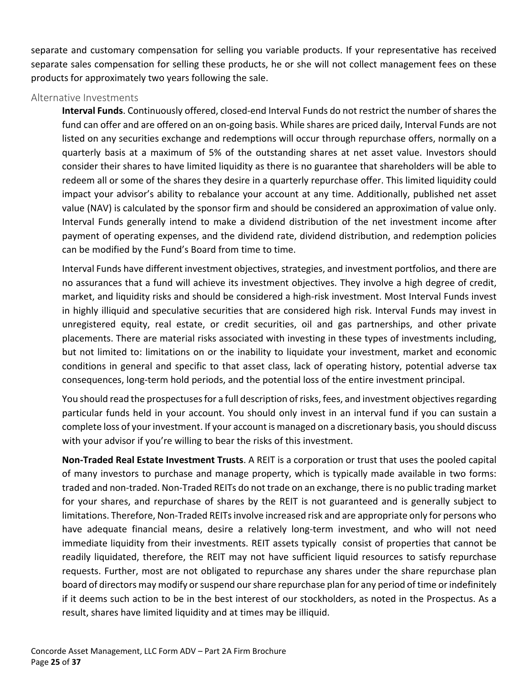separate and customary compensation for selling you variable products. If your representative has received separate sales compensation for selling these products, he or she will not collect management fees on these products for approximately two years following the sale.

#### Alternative Investments

**Interval Funds**. Continuously offered, closed-end Interval Funds do not restrict the number of shares the fund can offer and are offered on an on-going basis. While shares are priced daily, Interval Funds are not listed on any securities exchange and redemptions will occur through repurchase offers, normally on a quarterly basis at a maximum of 5% of the outstanding shares at net asset value. Investors should consider their shares to have limited liquidity as there is no guarantee that shareholders will be able to redeem all or some of the shares they desire in a quarterly repurchase offer. This limited liquidity could impact your advisor's ability to rebalance your account at any time. Additionally, published net asset value (NAV) is calculated by the sponsor firm and should be considered an approximation of value only. Interval Funds generally intend to make a dividend distribution of the net investment income after payment of operating expenses, and the dividend rate, dividend distribution, and redemption policies can be modified by the Fund's Board from time to time.

Interval Funds have different investment objectives, strategies, and investment portfolios, and there are no assurances that a fund will achieve its investment objectives. They involve a high degree of credit, market, and liquidity risks and should be considered a high-risk investment. Most Interval Funds invest in highly illiquid and speculative securities that are considered high risk. Interval Funds may invest in unregistered equity, real estate, or credit securities, oil and gas partnerships, and other private placements. There are material risks associated with investing in these types of investments including, but not limited to: limitations on or the inability to liquidate your investment, market and economic conditions in general and specific to that asset class, lack of operating history, potential adverse tax consequences, long-term hold periods, and the potential loss of the entire investment principal.

You should read the prospectuses for a full description of risks, fees, and investment objectives regarding particular funds held in your account. You should only invest in an interval fund if you can sustain a complete loss of your investment. If your account is managed on a discretionary basis, you should discuss with your advisor if you're willing to bear the risks of this investment.

**Non-Traded Real Estate Investment Trusts**. A REIT is a corporation or trust that uses the pooled capital of many investors to purchase and manage property, which is typically made available in two forms: traded and non-traded. Non-Traded REITs do not trade on an exchange, there is no public trading market for your shares, and repurchase of shares by the REIT is not guaranteed and is generally subject to limitations. Therefore, Non-Traded REITs involve increased risk and are appropriate only for persons who have adequate financial means, desire a relatively long-term investment, and who will not need immediate liquidity from their investments. REIT assets typically consist of properties that cannot be readily liquidated, therefore, the REIT may not have sufficient liquid resources to satisfy repurchase requests. Further, most are not obligated to repurchase any shares under the share repurchase plan board of directors may modify or suspend ourshare repurchase plan for any period of time or indefinitely if it deems such action to be in the best interest of our stockholders, as noted in the Prospectus. As a result, shares have limited liquidity and at times may be illiquid.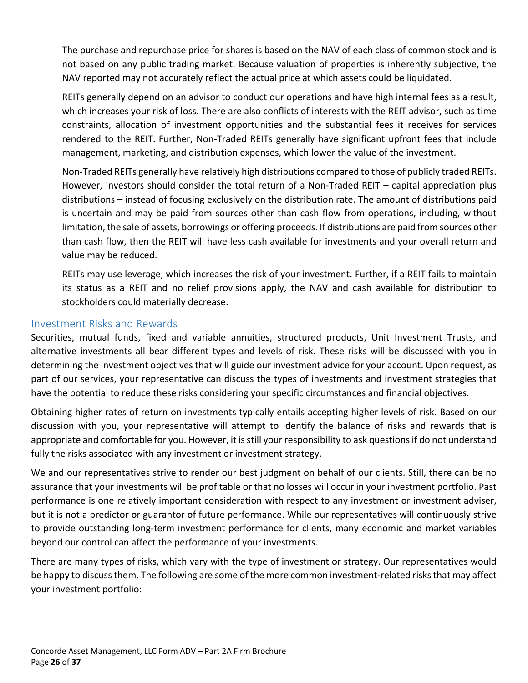The purchase and repurchase price for shares is based on the NAV of each class of common stock and is not based on any public trading market. Because valuation of properties is inherently subjective, the NAV reported may not accurately reflect the actual price at which assets could be liquidated.

REITs generally depend on an advisor to conduct our operations and have high internal fees as a result, which increases your risk of loss. There are also conflicts of interests with the REIT advisor, such as time constraints, allocation of investment opportunities and the substantial fees it receives for services rendered to the REIT. Further, Non-Traded REITs generally have significant upfront fees that include management, marketing, and distribution expenses, which lower the value of the investment.

Non-Traded REITs generally have relatively high distributions compared to those of publicly traded REITs. However, investors should consider the total return of a Non-Traded REIT – capital appreciation plus distributions – instead of focusing exclusively on the distribution rate. The amount of distributions paid is uncertain and may be paid from sources other than cash flow from operations, including, without limitation, the sale of assets, borrowings or offering proceeds. If distributions are paid from sources other than cash flow, then the REIT will have less cash available for investments and your overall return and value may be reduced.

REITs may use leverage, which increases the risk of your investment. Further, if a REIT fails to maintain its status as a REIT and no relief provisions apply, the NAV and cash available for distribution to stockholders could materially decrease.

#### <span id="page-25-0"></span>Investment Risks and Rewards

Securities, mutual funds, fixed and variable annuities, structured products, Unit Investment Trusts, and alternative investments all bear different types and levels of risk. These risks will be discussed with you in determining the investment objectives that will guide our investment advice for your account. Upon request, as part of our services, your representative can discuss the types of investments and investment strategies that have the potential to reduce these risks considering your specific circumstances and financial objectives.

Obtaining higher rates of return on investments typically entails accepting higher levels of risk. Based on our discussion with you, your representative will attempt to identify the balance of risks and rewards that is appropriate and comfortable for you. However, it is still your responsibility to ask questions if do not understand fully the risks associated with any investment or investment strategy.

We and our representatives strive to render our best judgment on behalf of our clients. Still, there can be no assurance that your investments will be profitable or that no losses will occur in your investment portfolio. Past performance is one relatively important consideration with respect to any investment or investment adviser, but it is not a predictor or guarantor of future performance. While our representatives will continuously strive to provide outstanding long-term investment performance for clients, many economic and market variables beyond our control can affect the performance of your investments.

There are many types of risks, which vary with the type of investment or strategy. Our representatives would be happy to discuss them. The following are some of the more common investment-related risks that may affect your investment portfolio: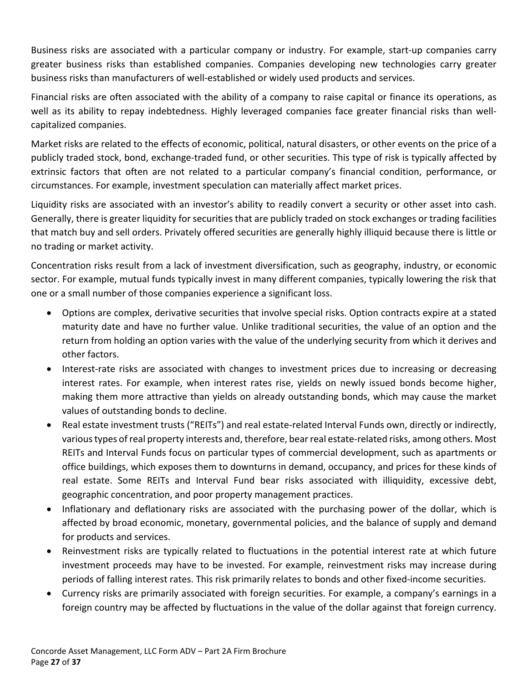Business risks are associated with a particular company or industry. For example, start-up companies carry greater business risks than established companies. Companies developing new technologies carry greater business risks than manufacturers of well-established or widely used products and services.

Financial risks are often associated with the ability of a company to raise capital or finance its operations, as well as its ability to repay indebtedness. Highly leveraged companies face greater financial risks than wellcapitalized companies.

Market risks are related to the effects of economic, political, natural disasters, or other events on the price of a publicly traded stock, bond, exchange-traded fund, or other securities. This type of risk is typically affected by extrinsic factors that often are not related to a particular company's financial condition, performance, or circumstances. For example, investment speculation can materially affect market prices.

Liquidity risks are associated with an investor's ability to readily convert a security or other asset into cash. Generally, there is greater liquidity for securities that are publicly traded on stock exchanges or trading facilities that match buy and sell orders. Privately offered securities are generally highly illiquid because there is little or no trading or market activity.

Concentration risks result from a lack of investment diversification, such as geography, industry, or economic sector. For example, mutual funds typically invest in many different companies, typically lowering the risk that one or a small number of those companies experience a significant loss.

- Options are complex, derivative securities that involve special risks. Option contracts expire at a stated maturity date and have no further value. Unlike traditional securities, the value of an option and the return from holding an option varies with the value of the underlying security from which it derives and other factors.
- Interest-rate risks are associated with changes to investment prices due to increasing or decreasing interest rates. For example, when interest rates rise, yields on newly issued bonds become higher, making them more attractive than yields on already outstanding bonds, which may cause the market values of outstanding bonds to decline.
- Real estate investment trusts ("REITs") and real estate-related Interval Funds own, directly or indirectly, various types of real property interests and, therefore, bear real estate-related risks, among others. Most REITs and Interval Funds focus on particular types of commercial development, such as apartments or office buildings, which exposes them to downturns in demand, occupancy, and prices for these kinds of real estate. Some REITs and Interval Fund bear risks associated with illiquidity, excessive debt, geographic concentration, and poor property management practices.
- Inflationary and deflationary risks are associated with the purchasing power of the dollar, which is affected by broad economic, monetary, governmental policies, and the balance of supply and demand for products and services.
- Reinvestment risks are typically related to fluctuations in the potential interest rate at which future investment proceeds may have to be invested. For example, reinvestment risks may increase during periods of falling interest rates. This risk primarily relates to bonds and other fixed-income securities.
- Currency risks are primarily associated with foreign securities. For example, a company's earnings in a foreign country may be affected by fluctuations in the value of the dollar against that foreign currency.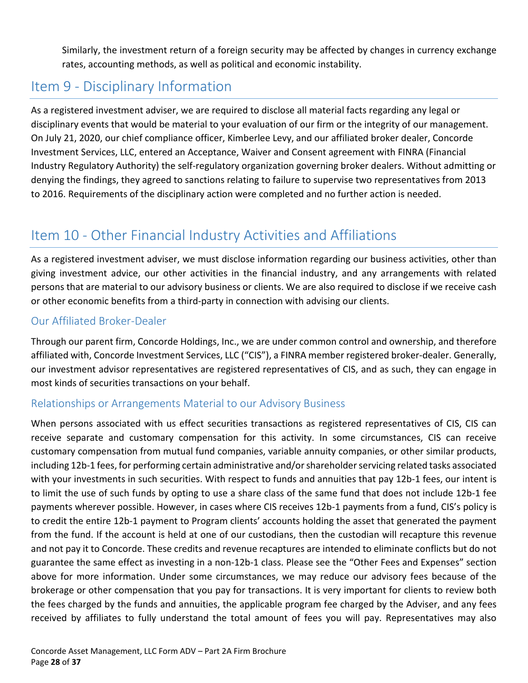Similarly, the investment return of a foreign security may be affected by changes in currency exchange rates, accounting methods, as well as political and economic instability.

## <span id="page-27-0"></span>Item 9 - Disciplinary Information

As a registered investment adviser, we are required to disclose all material facts regarding any legal or disciplinary events that would be material to your evaluation of our firm or the integrity of our management. On July 21, 2020, our chief compliance officer, Kimberlee Levy, and our affiliated broker dealer, Concorde Investment Services, LLC, entered an Acceptance, Waiver and Consent agreement with FINRA (Financial Industry Regulatory Authority) the self-regulatory organization governing broker dealers. Without admitting or denying the findings, they agreed to sanctions relating to failure to supervise two representatives from 2013 to 2016. Requirements of the disciplinary action were completed and no further action is needed.

## <span id="page-27-1"></span>Item 10 - Other Financial Industry Activities and Affiliations

As a registered investment adviser, we must disclose information regarding our business activities, other than giving investment advice, our other activities in the financial industry, and any arrangements with related persons that are material to our advisory business or clients. We are also required to disclose if we receive cash or other economic benefits from a third-party in connection with advising our clients.

#### <span id="page-27-2"></span>Our Affiliated Broker-Dealer

Through our parent firm, Concorde Holdings, Inc., we are under common control and ownership, and therefore affiliated with, Concorde Investment Services, LLC ("CIS"), a FINRA member registered broker-dealer. Generally, our investment advisor representatives are registered representatives of CIS, and as such, they can engage in most kinds of securities transactions on your behalf.

#### <span id="page-27-3"></span>Relationships or Arrangements Material to our Advisory Business

When persons associated with us effect securities transactions as registered representatives of CIS, CIS can receive separate and customary compensation for this activity. In some circumstances, CIS can receive customary compensation from mutual fund companies, variable annuity companies, or other similar products, including 12b-1 fees, for performing certain administrative and/or shareholder servicing related tasks associated with your investments in such securities. With respect to funds and annuities that pay 12b-1 fees, our intent is to limit the use of such funds by opting to use a share class of the same fund that does not include 12b-1 fee payments wherever possible. However, in cases where CIS receives 12b-1 payments from a fund, CIS's policy is to credit the entire 12b-1 payment to Program clients' accounts holding the asset that generated the payment from the fund. If the account is held at one of our custodians, then the custodian will recapture this revenue and not pay it to Concorde. These credits and revenue recaptures are intended to eliminate conflicts but do not guarantee the same effect as investing in a non-12b-1 class. Please see the "Other Fees and Expenses" section above for more information. Under some circumstances, we may reduce our advisory fees because of the brokerage or other compensation that you pay for transactions. It is very important for clients to review both the fees charged by the funds and annuities, the applicable program fee charged by the Adviser, and any fees received by affiliates to fully understand the total amount of fees you will pay. Representatives may also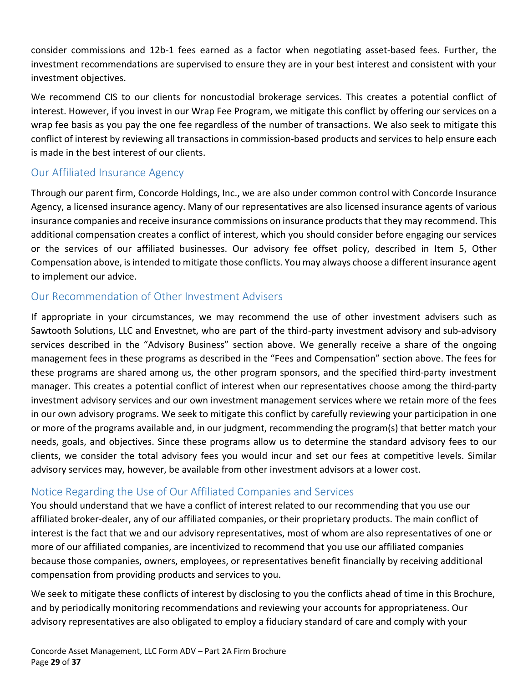consider commissions and 12b-1 fees earned as a factor when negotiating asset-based fees. Further, the investment recommendations are supervised to ensure they are in your best interest and consistent with your investment objectives.

We recommend CIS to our clients for noncustodial brokerage services. This creates a potential conflict of interest. However, if you invest in our Wrap Fee Program, we mitigate this conflict by offering our services on a wrap fee basis as you pay the one fee regardless of the number of transactions. We also seek to mitigate this conflict of interest by reviewing all transactions in commission-based products and services to help ensure each is made in the best interest of our clients.

#### <span id="page-28-0"></span>Our Affiliated Insurance Agency

Through our parent firm, Concorde Holdings, Inc., we are also under common control with Concorde Insurance Agency, a licensed insurance agency. Many of our representatives are also licensed insurance agents of various insurance companies and receive insurance commissions on insurance products that they may recommend. This additional compensation creates a conflict of interest, which you should consider before engaging our services or the services of our affiliated businesses. Our advisory fee offset policy, described in Item 5, Other Compensation above, is intended to mitigate those conflicts. You may always choose a different insurance agent to implement our advice.

#### <span id="page-28-1"></span>Our Recommendation of Other Investment Advisers

If appropriate in your circumstances, we may recommend the use of other investment advisers such as Sawtooth Solutions, LLC and Envestnet, who are part of the third-party investment advisory and sub-advisory services described in the "Advisory Business" section above. We generally receive a share of the ongoing management fees in these programs as described in the "Fees and Compensation" section above. The fees for these programs are shared among us, the other program sponsors, and the specified third-party investment manager. This creates a potential conflict of interest when our representatives choose among the third-party investment advisory services and our own investment management services where we retain more of the fees in our own advisory programs. We seek to mitigate this conflict by carefully reviewing your participation in one or more of the programs available and, in our judgment, recommending the program(s) that better match your needs, goals, and objectives. Since these programs allow us to determine the standard advisory fees to our clients, we consider the total advisory fees you would incur and set our fees at competitive levels. Similar advisory services may, however, be available from other investment advisors at a lower cost.

#### <span id="page-28-2"></span>Notice Regarding the Use of Our Affiliated Companies and Services

You should understand that we have a conflict of interest related to our recommending that you use our affiliated broker-dealer, any of our affiliated companies, or their proprietary products. The main conflict of interest is the fact that we and our advisory representatives, most of whom are also representatives of one or more of our affiliated companies, are incentivized to recommend that you use our affiliated companies because those companies, owners, employees, or representatives benefit financially by receiving additional compensation from providing products and services to you.

We seek to mitigate these conflicts of interest by disclosing to you the conflicts ahead of time in this Brochure, and by periodically monitoring recommendations and reviewing your accounts for appropriateness. Our advisory representatives are also obligated to employ a fiduciary standard of care and comply with your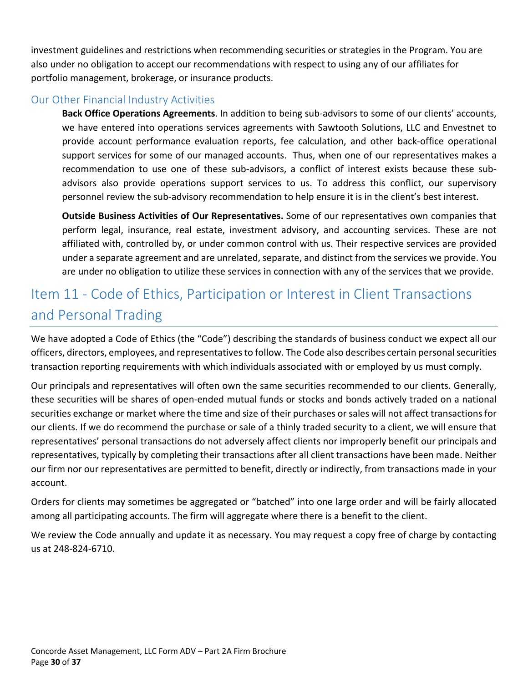investment guidelines and restrictions when recommending securities or strategies in the Program. You are also under no obligation to accept our recommendations with respect to using any of our affiliates for portfolio management, brokerage, or insurance products.

#### <span id="page-29-0"></span>Our Other Financial Industry Activities

**Back Office Operations Agreements**. In addition to being sub-advisors to some of our clients' accounts, we have entered into operations services agreements with Sawtooth Solutions, LLC and Envestnet to provide account performance evaluation reports, fee calculation, and other back-office operational support services for some of our managed accounts. Thus, when one of our representatives makes a recommendation to use one of these sub-advisors, a conflict of interest exists because these subadvisors also provide operations support services to us. To address this conflict, our supervisory personnel review the sub-advisory recommendation to help ensure it is in the client's best interest.

**Outside Business Activities of Our Representatives.** Some of our representatives own companies that perform legal, insurance, real estate, investment advisory, and accounting services. These are not affiliated with, controlled by, or under common control with us. Their respective services are provided under a separate agreement and are unrelated, separate, and distinct from the services we provide. You are under no obligation to utilize these services in connection with any of the services that we provide.

## <span id="page-29-1"></span>Item 11 - Code of Ethics, Participation or Interest in Client Transactions and Personal Trading

We have adopted a Code of Ethics (the "Code") describing the standards of business conduct we expect all our officers, directors, employees, and representatives to follow. The Code also describes certain personal securities transaction reporting requirements with which individuals associated with or employed by us must comply.

Our principals and representatives will often own the same securities recommended to our clients. Generally, these securities will be shares of open-ended mutual funds or stocks and bonds actively traded on a national securities exchange or market where the time and size of their purchases or sales will not affect transactions for our clients. If we do recommend the purchase or sale of a thinly traded security to a client, we will ensure that representatives' personal transactions do not adversely affect clients nor improperly benefit our principals and representatives, typically by completing their transactions after all client transactions have been made. Neither our firm nor our representatives are permitted to benefit, directly or indirectly, from transactions made in your account.

Orders for clients may sometimes be aggregated or "batched" into one large order and will be fairly allocated among all participating accounts. The firm will aggregate where there is a benefit to the client.

We review the Code annually and update it as necessary. You may request a copy free of charge by contacting us at 248-824-6710.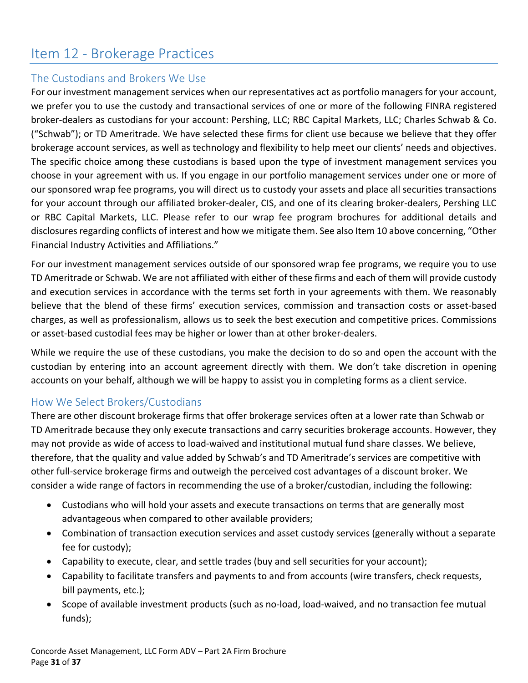## <span id="page-30-0"></span>Item 12 - Brokerage Practices

#### <span id="page-30-1"></span>The Custodians and Brokers We Use

For our investment management services when our representatives act as portfolio managers for your account, we prefer you to use the custody and transactional services of one or more of the following FINRA registered broker-dealers as custodians for your account: Pershing, LLC; RBC Capital Markets, LLC; Charles Schwab & Co. ("Schwab"); or TD Ameritrade. We have selected these firms for client use because we believe that they offer brokerage account services, as well as technology and flexibility to help meet our clients' needs and objectives. The specific choice among these custodians is based upon the type of investment management services you choose in your agreement with us. If you engage in our portfolio management services under one or more of our sponsored wrap fee programs, you will direct us to custody your assets and place all securities transactions for your account through our affiliated broker-dealer, CIS, and one of its clearing broker-dealers, Pershing LLC or RBC Capital Markets, LLC. Please refer to our wrap fee program brochures for additional details and disclosures regarding conflicts of interest and how we mitigate them. See also Item 10 above concerning, "Other Financial Industry Activities and Affiliations."

For our investment management services outside of our sponsored wrap fee programs, we require you to use TD Ameritrade or Schwab. We are not affiliated with either of these firms and each of them will provide custody and execution services in accordance with the terms set forth in your agreements with them. We reasonably believe that the blend of these firms' execution services, commission and transaction costs or asset-based charges, as well as professionalism, allows us to seek the best execution and competitive prices. Commissions or asset-based custodial fees may be higher or lower than at other broker-dealers.

While we require the use of these custodians, you make the decision to do so and open the account with the custodian by entering into an account agreement directly with them. We don't take discretion in opening accounts on your behalf, although we will be happy to assist you in completing forms as a client service.

#### <span id="page-30-2"></span>How We Select Brokers/Custodians

There are other discount brokerage firms that offer brokerage services often at a lower rate than Schwab or TD Ameritrade because they only execute transactions and carry securities brokerage accounts. However, they may not provide as wide of access to load-waived and institutional mutual fund share classes. We believe, therefore, that the quality and value added by Schwab's and TD Ameritrade's services are competitive with other full-service brokerage firms and outweigh the perceived cost advantages of a discount broker. We consider a wide range of factors in recommending the use of a broker/custodian, including the following:

- Custodians who will hold your assets and execute transactions on terms that are generally most advantageous when compared to other available providers;
- Combination of transaction execution services and asset custody services (generally without a separate fee for custody);
- Capability to execute, clear, and settle trades (buy and sell securities for your account);
- Capability to facilitate transfers and payments to and from accounts (wire transfers, check requests, bill payments, etc.);
- Scope of available investment products (such as no-load, load-waived, and no transaction fee mutual funds);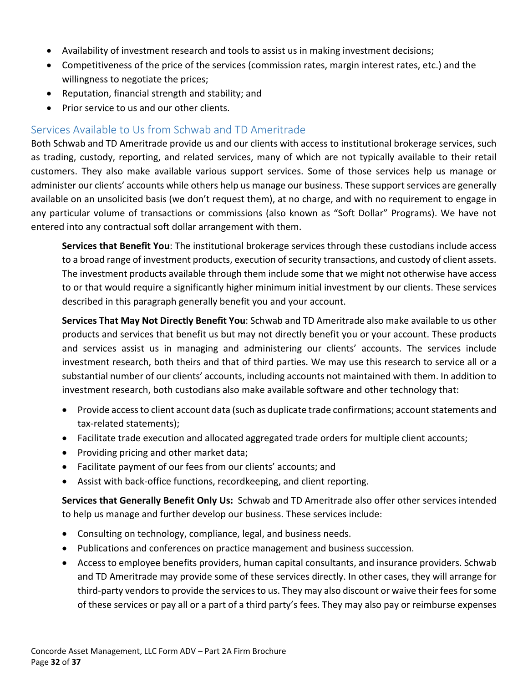- Availability of investment research and tools to assist us in making investment decisions;
- Competitiveness of the price of the services (commission rates, margin interest rates, etc.) and the willingness to negotiate the prices;
- Reputation, financial strength and stability; and
- Prior service to us and our other clients.

#### <span id="page-31-0"></span>Services Available to Us from Schwab and TD Ameritrade

Both Schwab and TD Ameritrade provide us and our clients with access to institutional brokerage services, such as trading, custody, reporting, and related services, many of which are not typically available to their retail customers. They also make available various support services. Some of those services help us manage or administer our clients' accounts while others help us manage our business. These support services are generally available on an unsolicited basis (we don't request them), at no charge, and with no requirement to engage in any particular volume of transactions or commissions (also known as "Soft Dollar" Programs). We have not entered into any contractual soft dollar arrangement with them.

**Services that Benefit You**: The institutional brokerage services through these custodians include access to a broad range of investment products, execution of security transactions, and custody of client assets. The investment products available through them include some that we might not otherwise have access to or that would require a significantly higher minimum initial investment by our clients. These services described in this paragraph generally benefit you and your account.

**Services That May Not Directly Benefit You**: Schwab and TD Ameritrade also make available to us other products and services that benefit us but may not directly benefit you or your account. These products and services assist us in managing and administering our clients' accounts. The services include investment research, both theirs and that of third parties. We may use this research to service all or a substantial number of our clients' accounts, including accounts not maintained with them. In addition to investment research, both custodians also make available software and other technology that:

- Provide access to client account data (such as duplicate trade confirmations; account statements and tax-related statements);
- Facilitate trade execution and allocated aggregated trade orders for multiple client accounts;
- Providing pricing and other market data;
- Facilitate payment of our fees from our clients' accounts; and
- Assist with back-office functions, recordkeeping, and client reporting.

**Services that Generally Benefit Only Us:** Schwab and TD Ameritrade also offer other services intended to help us manage and further develop our business. These services include:

- Consulting on technology, compliance, legal, and business needs.
- Publications and conferences on practice management and business succession.
- Access to employee benefits providers, human capital consultants, and insurance providers. Schwab and TD Ameritrade may provide some of these services directly. In other cases, they will arrange for third-party vendors to provide the services to us. They may also discount or waive their fees for some of these services or pay all or a part of a third party's fees. They may also pay or reimburse expenses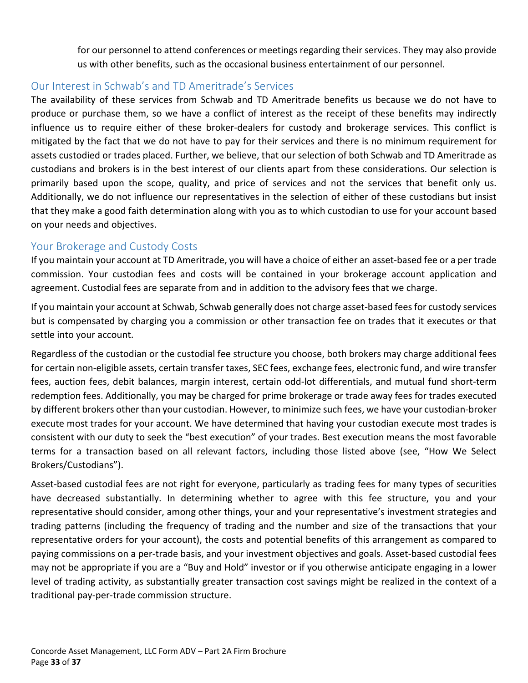for our personnel to attend conferences or meetings regarding their services. They may also provide us with other benefits, such as the occasional business entertainment of our personnel.

#### <span id="page-32-0"></span>Our Interest in Schwab's and TD Ameritrade's Services

The availability of these services from Schwab and TD Ameritrade benefits us because we do not have to produce or purchase them, so we have a conflict of interest as the receipt of these benefits may indirectly influence us to require either of these broker-dealers for custody and brokerage services. This conflict is mitigated by the fact that we do not have to pay for their services and there is no minimum requirement for assets custodied or trades placed. Further, we believe, that our selection of both Schwab and TD Ameritrade as custodians and brokers is in the best interest of our clients apart from these considerations. Our selection is primarily based upon the scope, quality, and price of services and not the services that benefit only us. Additionally, we do not influence our representatives in the selection of either of these custodians but insist that they make a good faith determination along with you as to which custodian to use for your account based on your needs and objectives.

#### <span id="page-32-1"></span>Your Brokerage and Custody Costs

If you maintain your account at TD Ameritrade, you will have a choice of either an asset-based fee or a per trade commission. Your custodian fees and costs will be contained in your brokerage account application and agreement. Custodial fees are separate from and in addition to the advisory fees that we charge.

If you maintain your account at Schwab, Schwab generally does not charge asset-based fees for custody services but is compensated by charging you a commission or other transaction fee on trades that it executes or that settle into your account.

Regardless of the custodian or the custodial fee structure you choose, both brokers may charge additional fees for certain non-eligible assets, certain transfer taxes, SEC fees, exchange fees, electronic fund, and wire transfer fees, auction fees, debit balances, margin interest, certain odd-lot differentials, and mutual fund short-term redemption fees. Additionally, you may be charged for prime brokerage or trade away fees for trades executed by different brokers other than your custodian. However, to minimize such fees, we have your custodian-broker execute most trades for your account. We have determined that having your custodian execute most trades is consistent with our duty to seek the "best execution" of your trades. Best execution means the most favorable terms for a transaction based on all relevant factors, including those listed above (see, "How We Select Brokers/Custodians").

Asset-based custodial fees are not right for everyone, particularly as trading fees for many types of securities have decreased substantially. In determining whether to agree with this fee structure, you and your representative should consider, among other things, your and your representative's investment strategies and trading patterns (including the frequency of trading and the number and size of the transactions that your representative orders for your account), the costs and potential benefits of this arrangement as compared to paying commissions on a per-trade basis, and your investment objectives and goals. Asset-based custodial fees may not be appropriate if you are a "Buy and Hold" investor or if you otherwise anticipate engaging in a lower level of trading activity, as substantially greater transaction cost savings might be realized in the context of a traditional pay-per-trade commission structure.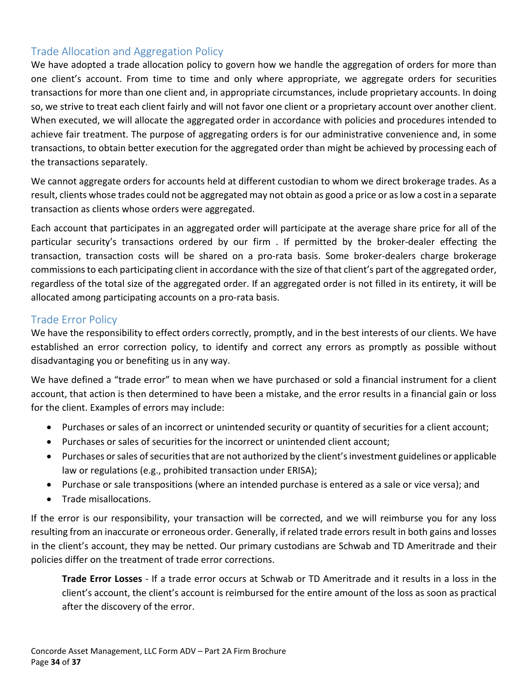#### <span id="page-33-0"></span>Trade Allocation and Aggregation Policy

We have adopted a trade allocation policy to govern how we handle the aggregation of orders for more than one client's account. From time to time and only where appropriate, we aggregate orders for securities transactions for more than one client and, in appropriate circumstances, include proprietary accounts. In doing so, we strive to treat each client fairly and will not favor one client or a proprietary account over another client. When executed, we will allocate the aggregated order in accordance with policies and procedures intended to achieve fair treatment. The purpose of aggregating orders is for our administrative convenience and, in some transactions, to obtain better execution for the aggregated order than might be achieved by processing each of the transactions separately.

We cannot aggregate orders for accounts held at different custodian to whom we direct brokerage trades. As a result, clients whose trades could not be aggregated may not obtain as good a price or as low a cost in a separate transaction as clients whose orders were aggregated.

Each account that participates in an aggregated order will participate at the average share price for all of the particular security's transactions ordered by our firm . If permitted by the broker-dealer effecting the transaction, transaction costs will be shared on a pro-rata basis. Some broker-dealers charge brokerage commissions to each participating client in accordance with the size of that client's part of the aggregated order, regardless of the total size of the aggregated order. If an aggregated order is not filled in its entirety, it will be allocated among participating accounts on a pro-rata basis.

#### <span id="page-33-1"></span>Trade Error Policy

We have the responsibility to effect orders correctly, promptly, and in the best interests of our clients. We have established an error correction policy, to identify and correct any errors as promptly as possible without disadvantaging you or benefiting us in any way.

We have defined a "trade error" to mean when we have purchased or sold a financial instrument for a client account, that action is then determined to have been a mistake, and the error results in a financial gain or loss for the client. Examples of errors may include:

- Purchases or sales of an incorrect or unintended security or quantity of securities for a client account;
- Purchases or sales of securities for the incorrect or unintended client account;
- Purchases or sales of securities that are not authorized by the client's investment guidelines or applicable law or regulations (e.g., prohibited transaction under ERISA);
- Purchase or sale transpositions (where an intended purchase is entered as a sale or vice versa); and
- Trade misallocations.

If the error is our responsibility, your transaction will be corrected, and we will reimburse you for any loss resulting from an inaccurate or erroneous order. Generally, if related trade errors result in both gains and losses in the client's account, they may be netted. Our primary custodians are Schwab and TD Ameritrade and their policies differ on the treatment of trade error corrections.

**Trade Error Losses** - If a trade error occurs at Schwab or TD Ameritrade and it results in a loss in the client's account, the client's account is reimbursed for the entire amount of the loss as soon as practical after the discovery of the error.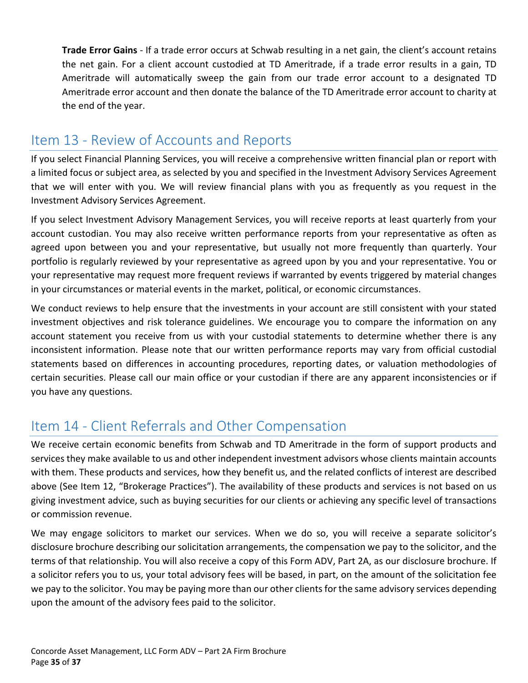**Trade Error Gains** - If a trade error occurs at Schwab resulting in a net gain, the client's account retains the net gain. For a client account custodied at TD Ameritrade, if a trade error results in a gain, TD Ameritrade will automatically sweep the gain from our trade error account to a designated TD Ameritrade error account and then donate the balance of the TD Ameritrade error account to charity at the end of the year.

## <span id="page-34-0"></span>Item 13 - Review of Accounts and Reports

If you select Financial Planning Services, you will receive a comprehensive written financial plan or report with a limited focus or subject area, as selected by you and specified in the Investment Advisory Services Agreement that we will enter with you. We will review financial plans with you as frequently as you request in the Investment Advisory Services Agreement.

If you select Investment Advisory Management Services, you will receive reports at least quarterly from your account custodian. You may also receive written performance reports from your representative as often as agreed upon between you and your representative, but usually not more frequently than quarterly. Your portfolio is regularly reviewed by your representative as agreed upon by you and your representative. You or your representative may request more frequent reviews if warranted by events triggered by material changes in your circumstances or material events in the market, political, or economic circumstances.

We conduct reviews to help ensure that the investments in your account are still consistent with your stated investment objectives and risk tolerance guidelines. We encourage you to compare the information on any account statement you receive from us with your custodial statements to determine whether there is any inconsistent information. Please note that our written performance reports may vary from official custodial statements based on differences in accounting procedures, reporting dates, or valuation methodologies of certain securities. Please call our main office or your custodian if there are any apparent inconsistencies or if you have any questions.

## <span id="page-34-1"></span>Item 14 - Client Referrals and Other Compensation

We receive certain economic benefits from Schwab and TD Ameritrade in the form of support products and services they make available to us and other independent investment advisors whose clients maintain accounts with them. These products and services, how they benefit us, and the related conflicts of interest are described above (See Item 12, "Brokerage Practices"). The availability of these products and services is not based on us giving investment advice, such as buying securities for our clients or achieving any specific level of transactions or commission revenue.

We may engage solicitors to market our services. When we do so, you will receive a separate solicitor's disclosure brochure describing our solicitation arrangements, the compensation we pay to the solicitor, and the terms of that relationship. You will also receive a copy of this Form ADV, Part 2A, as our disclosure brochure. If a solicitor refers you to us, your total advisory fees will be based, in part, on the amount of the solicitation fee we pay to the solicitor. You may be paying more than our other clients for the same advisory services depending upon the amount of the advisory fees paid to the solicitor.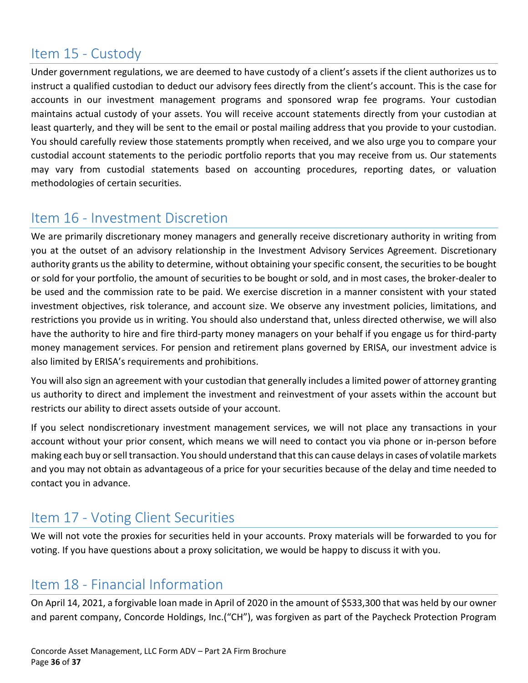## <span id="page-35-0"></span>Item 15 - Custody

Under government regulations, we are deemed to have custody of a client's assets if the client authorizes us to instruct a qualified custodian to deduct our advisory fees directly from the client's account. This is the case for accounts in our investment management programs and sponsored wrap fee programs. Your custodian maintains actual custody of your assets. You will receive account statements directly from your custodian at least quarterly, and they will be sent to the email or postal mailing address that you provide to your custodian. You should carefully review those statements promptly when received, and we also urge you to compare your custodial account statements to the periodic portfolio reports that you may receive from us. Our statements may vary from custodial statements based on accounting procedures, reporting dates, or valuation methodologies of certain securities.

## <span id="page-35-1"></span>Item 16 - Investment Discretion

We are primarily discretionary money managers and generally receive discretionary authority in writing from you at the outset of an advisory relationship in the Investment Advisory Services Agreement. Discretionary authority grants us the ability to determine, without obtaining your specific consent, the securities to be bought or sold for your portfolio, the amount of securities to be bought or sold, and in most cases, the broker-dealer to be used and the commission rate to be paid. We exercise discretion in a manner consistent with your stated investment objectives, risk tolerance, and account size. We observe any investment policies, limitations, and restrictions you provide us in writing. You should also understand that, unless directed otherwise, we will also have the authority to hire and fire third-party money managers on your behalf if you engage us for third-party money management services. For pension and retirement plans governed by ERISA, our investment advice is also limited by ERISA's requirements and prohibitions.

You will also sign an agreement with your custodian that generally includes a limited power of attorney granting us authority to direct and implement the investment and reinvestment of your assets within the account but restricts our ability to direct assets outside of your account.

If you select nondiscretionary investment management services, we will not place any transactions in your account without your prior consent, which means we will need to contact you via phone or in-person before making each buy or sell transaction. You should understand that this can cause delays in cases of volatile markets and you may not obtain as advantageous of a price for your securities because of the delay and time needed to contact you in advance.

## <span id="page-35-2"></span>Item 17 - Voting Client Securities

We will not vote the proxies for securities held in your accounts. Proxy materials will be forwarded to you for voting. If you have questions about a proxy solicitation, we would be happy to discuss it with you.

## <span id="page-35-3"></span>Item 18 - Financial Information

On April 14, 2021, a forgivable loan made in April of 2020 in the amount of \$533,300 that was held by our owner and parent company, Concorde Holdings, Inc.("CH"), was forgiven as part of the Paycheck Protection Program